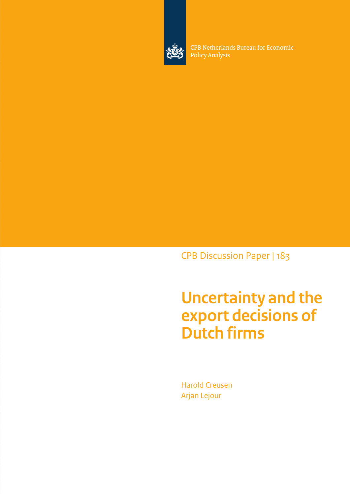

CPB Netherlands Bureau for Economic Policy Analysis

CPB Discussion Paper | 183

# **Uncertainty and the export decisions of Dutch firms**

Harold Creusen Arjan Lejour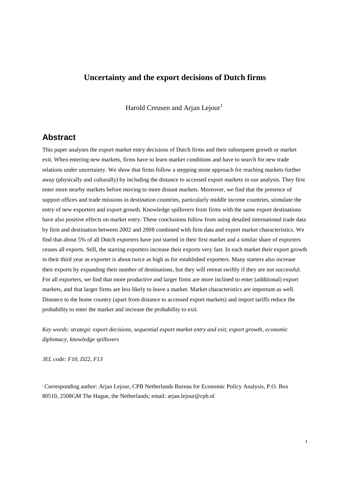# **Uncertainty and the export decisions of Dutch firms**

Harold Creusen and Arjan Lejour<sup>1</sup>

# **Abstract**

This paper analyses the export market entry decisions of Dutch firms and their subsequent growth or market exit. When entering new markets, firms have to learn market conditions and have to search for new trade relations under uncertainty. We show that firms follow a stepping stone approach for reaching markets further away (physically and culturally) by including the distance to accessed export markets in our analysis. They first enter more nearby markets before moving to more distant markets. Moreover, we find that the presence of support offices and trade missions in destination countries, particularly middle income countries, stimulate the entry of new exporters and export growth. Knowledge spillovers from firms with the same export destinations have also positive effects on market entry. These conclusions follow from using detailed international trade data by firm and destination between 2002 and 2008 combined with firm data and export market characteristics. We find that about 5% of all Dutch exporters have just started in their first market and a similar share of exporters ceases all exports. Still, the starting exporters increase their exports very fast. In each market their export growth in their third year as exporter is about twice as high as for established exporters. Many starters also increase their exports by expanding their number of destinations, but they will retreat swiftly if they are not successful. For all exporters, we find that more productive and larger firms are more inclined to enter (additional) export markets, and that larger firms are less likely to leave a market. Market characteristics are important as well. Distance to the home country (apart from distance to accessed export markets) and import tariffs reduce the probability to enter the market and increase the probability to exit.

*Key words: strategic export decisions, sequential export market entry and exit, export growth, economic diplomacy, knowledge spillovers*

*JEL code: F10, D22, F13*

<sup>1</sup> Corresponding author: Arjan Lejour, CPB Netherlands Bureau for Economic Policy Analysis, P.O. Box 80510, 2508GM The Hague, the Netherlands; email: arjan.lejour@cpb.nl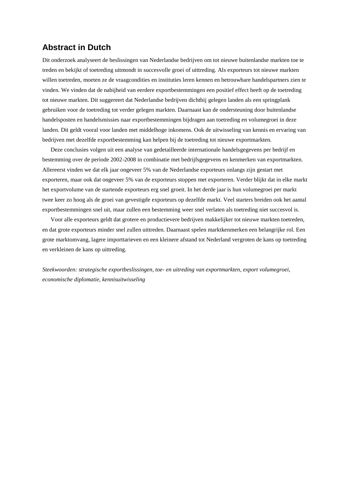# **Abstract in Dutch**

Dit onderzoek analyseert de beslissingen van Nederlandse bedrijven om tot nieuwe buitenlandse markten toe te treden en bekijkt of toetreding uitmondt in succesvolle groei of uittreding. Als exporteurs tot nieuwe markten willen toetreden, moeten ze de vraagcondities en instituties leren kennen en betrouwbare handelspartners zien te vinden. We vinden dat de nabijheid van eerdere exportbestemmingen een positief effect heeft op de toetreding tot nieuwe markten. Dit suggereert dat Nederlandse bedrijven dichtbij gelegen landen als een springplank gebruiken voor de toetreding tot verder gelegen markten. Daarnaast kan de ondersteuning door buitenlandse handelsposten en handelsmissies naar exportbestemmingen bijdragen aan toetreding en volumegroei in deze landen. Dit geldt vooral voor landen met middelhoge inkomens. Ook de uitwisseling van kennis en ervaring van bedrijven met dezelfde exportbestemming kan helpen bij de toetreding tot nieuwe exportmarkten.

Deze conclusies volgen uit een analyse van gedetailleerde internationale handelsgegevens per bedrijf en bestemming over de periode 2002-2008 in combinatie met bedrijfsgegevens en kenmerken van exportmarkten. Allereerst vinden we dat elk jaar ongeveer 5% van de Nederlandse exporteurs onlangs zijn gestart met exporteren, maar ook dat ongeveer 5% van de exporteurs stoppen met exporteren. Verder blijkt dat in elke markt het exportvolume van de startende exporteurs erg snel groeit. In het derde jaar is hun volumegroei per markt twee keer zo hoog als de groei van gevestigde exporteurs op dezelfde markt. Veel starters breiden ook het aantal exportbestemmingen snel uit, maar zullen een bestemming weer snel verlaten als toetreding niet succesvol is.

Voor alle exporteurs geldt dat grotere en productievere bedrijven makkelijker tot nieuwe markten toetreden, en dat grote exporteurs minder snel zullen uittreden. Daarnaast spelen marktkenmerken een belangrijke rol. Een grote marktomvang, lagere importtarieven en een kleinere afstand tot Nederland vergroten de kans op toetreding en verkleinen de kans op uittreding.

*Steekwoorden: strategische exportbeslissingen, toe- en uitreding van exportmarkten, export volumegroei, economische diplomatie, kennisuitwisseling*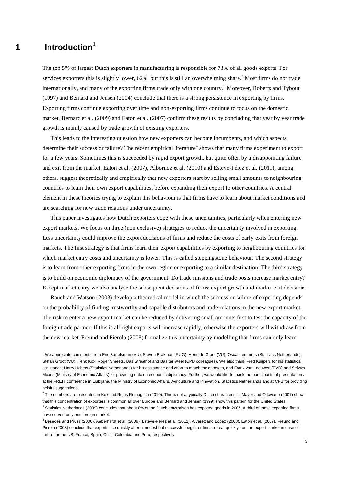# **1 Introduction<sup>1</sup>**

The top 5% of largest Dutch exporters in manufacturing is responsible for 73% of all goods exports. For services exporters this is slightly lower, 62%, but this is still an overwhelming share.<sup>2</sup> Most firms do not trade internationally, and many of the exporting firms trade only with one country.<sup>3</sup> Moreover, Roberts and Tybout (1997) and Bernard and Jensen (2004) conclude that there is a strong persistence in exporting by firms. Exporting firms continue exporting over time and non-exporting firms continue to focus on the domestic market. Bernard et al. (2009) and Eaton et al. (2007) confirm these results by concluding that year by year trade growth is mainly caused by trade growth of existing exporters.

This leads to the interesting question how new exporters can become incumbents, and which aspects determine their success or failure? The recent empirical literature<sup>4</sup> shows that many firms experiment to export for a few years. Sometimes this is succeeded by rapid export growth, but quite often by a disappointing failure and exit from the market. Eaton et al. (2007), Albornoz et al. (2010) and Esteve-Pérez et al. (2011), among others, suggest theoretically and empirically that new exporters start by selling small amounts to neighbouring countries to learn their own export capabilities, before expanding their export to other countries. A central element in these theories trying to explain this behaviour is that firms have to learn about market conditions and are searching for new trade relations under uncertainty.

This paper investigates how Dutch exporters cope with these uncertainties, particularly when entering new export markets. We focus on three (non exclusive) strategies to reduce the uncertainty involved in exporting. Less uncertainty could improve the export decisions of firms and reduce the costs of early exits from foreign markets. The first strategy is that firms learn their export capabilities by exporting to neighbouring countries for which market entry costs and uncertainty is lower. This is called steppingstone behaviour. The second strategy is to learn from other exporting firms in the own region or exporting to a similar destination. The third strategy is to build on economic diplomacy of the government. Do trade missions and trade posts increase market entry? Except market entry we also analyse the subsequent decisions of firms: export growth and market exit decisions.

Rauch and Watson (2003) develop a theoretical model in which the success or failure of exporting depends on the probability of finding trustworthy and capable distributors and trade relations in the new export market. The risk to enter a new export market can be reduced by delivering small amounts first to test the capacity of the foreign trade partner. If this is all right exports will increase rapidly, otherwise the exporters will withdraw from the new market. Freund and Pierola (2008) formalize this uncertainty by modelling that firms can only learn

<sup>3</sup> Statistics Netherlands (2009) concludes that about 8% of the Dutch enterprises has exported goods in 2007. A third of these exporting firms have served only one foreign market.

<sup>1</sup> We appreciate comments from Eric Bartelsman (VU), Steven Brakman (RUG), Henri de Groot (VU), Oscar Lemmers (Statistics Netherlands), Stefan Groot (VU), Henk Kox, Roger Smeets, Bas Straathof and Bas ter Weel (CPB colleagues). We also thank Fred Kuijpers for his statistical assistance, Harry Habets (Statistics Netherlands) for his assistance and effort to match the datasets, and Frank van Leeuwen (EVD) and Selwyn Moons (Ministry of Economic Affairs) for providing data on economic diplomacy. Further, we would like to thank the participants of presentations at the FREIT conference in Ljubljana, the Ministry of Economic Affairs, Agriculture and Innovation, Statistics Netherlands and at CPB for providing helpful suggestions.

 $^2$  The numbers are presented in Kox and Rojas Romagosa (2010). This is not a typically Dutch characteristic. Mayer and Ottaviano (2007) show that this concentration of exporters is common all over Europe and Bernard and Jensen (1999) show this pattern for the United States.

<sup>4</sup> Bešedes and Prusa (2006), Aeberhardt et al. (2009), Esteve-Pérez et al. (2011), Alvarez and Lopez (2008), Eaton et al. (2007), Freund and Pierola (2008) conclude that exports rise quickly after a modest but successful begin, or firms retreat quickly from an export market in case of failure for the US, France, Spain, Chile, Colombia and Peru, respectively.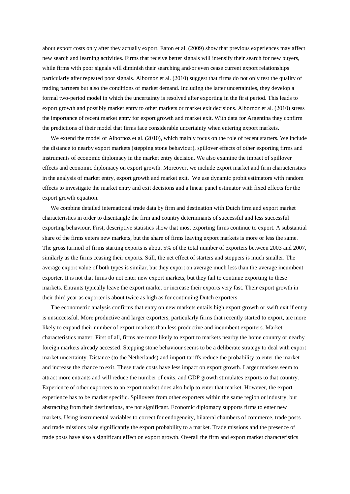about export costs only after they actually export. Eaton et al. (2009) show that previous experiences may affect new search and learning activities. Firms that receive better signals will intensify their search for new buyers, while firms with poor signals will diminish their searching and/or even cease current export relationships particularly after repeated poor signals. Albornoz et al. (2010) suggest that firms do not only test the quality of trading partners but also the conditions of market demand. Including the latter uncertainties, they develop a formal two-period model in which the uncertainty is resolved after exporting in the first period. This leads to export growth and possibly market entry to other markets or market exit decisions. Albornoz et al. (2010) stress the importance of recent market entry for export growth and market exit. With data for Argentina they confirm the predictions of their model that firms face considerable uncertainty when entering export markets.

We extend the model of Albornoz et al. (2010), which mainly focus on the role of recent starters. We include the distance to nearby export markets (stepping stone behaviour), spillover effects of other exporting firms and instruments of economic diplomacy in the market entry decision. We also examine the impact of spillover effects and economic diplomacy on export growth. Moreover, we include export market and firm characteristics in the analysis of market entry, export growth and market exit. We use dynamic probit estimators with random effects to investigate the market entry and exit decisions and a linear panel estimator with fixed effects for the export growth equation.

We combine detailed international trade data by firm and destination with Dutch firm and export market characteristics in order to disentangle the firm and country determinants of successful and less successful exporting behaviour. First, descriptive statistics show that most exporting firms continue to export. A substantial share of the firms enters new markets, but the share of firms leaving export markets is more or less the same. The gross turmoil of firms starting exports is about 5% of the total number of exporters between 2003 and 2007, similarly as the firms ceasing their exports. Still, the net effect of starters and stoppers is much smaller. The average export value of both types is similar, but they export on average much less than the average incumbent exporter. It is not that firms do not enter new export markets, but they fail to continue exporting to these markets. Entrants typically leave the export market or increase their exports very fast. Their export growth in their third year as exporter is about twice as high as for continuing Dutch exporters.

The econometric analysis confirms that entry on new markets entails high export growth or swift exit if entry is unsuccessful. More productive and larger exporters, particularly firms that recently started to export, are more likely to expand their number of export markets than less productive and incumbent exporters. Market characteristics matter. First of all, firms are more likely to export to markets nearby the home country or nearby foreign markets already accessed. Stepping stone behaviour seems to be a deliberate strategy to deal with export market uncertainty. Distance (to the Netherlands) and import tariffs reduce the probability to enter the market and increase the chance to exit. These trade costs have less impact on export growth. Larger markets seem to attract more entrants and will reduce the number of exits, and GDP growth stimulates exports to that country. Experience of other exporters to an export market does also help to enter that market. However, the export experience has to be market specific. Spillovers from other exporters within the same region or industry, but abstracting from their destinations, are not significant. Economic diplomacy supports firms to enter new markets. Using instrumental variables to correct for endogeneity, bilateral chambers of commerce, trade posts and trade missions raise significantly the export probability to a market. Trade missions and the presence of trade posts have also a significant effect on export growth. Overall the firm and export market characteristics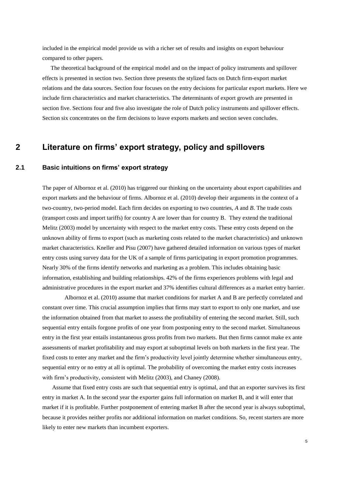included in the empirical model provide us with a richer set of results and insights on export behaviour compared to other papers.

The theoretical background of the empirical model and on the impact of policy instruments and spillover effects is presented in section two. Section three presents the stylized facts on Dutch firm-export market relations and the data sources. Section four focuses on the entry decisions for particular export markets. Here we include firm characteristics and market characteristics. The determinants of export growth are presented in section five. Sections four and five also investigate the role of Dutch policy instruments and spillover effects. Section six concentrates on the firm decisions to leave exports markets and section seven concludes.

# **2 Literature on firms' export strategy, policy and spillovers**

### **2.1 Basic intuitions on firms' export strategy**

The paper of Albornoz et al. (2010) has triggered our thinking on the uncertainty about export capabilities and export markets and the behaviour of firms. Albornoz et al. (2010) develop their arguments in the context of a two-country, two-period model. Each firm decides on exporting to two countries, *A* and *B*. The trade costs (transport costs and import tariffs) for country A are lower than for country B. They extend the traditional Melitz (2003) model by uncertainty with respect to the market entry costs. These entry costs depend on the unknown ability of firms to export (such as marketing costs related to the market characteristics) and unknown market characteristics. Kneller and Pisu (2007) have gathered detailed information on various types of market entry costs using survey data for the UK of a sample of firms participating in export promotion programmes. Nearly 30% of the firms identify networks and marketing as a problem. This includes obtaining basic information, establishing and building relationships. 42% of the firms experiences problems with legal and administrative procedures in the export market and 37% identifies cultural differences as a market entry barrier.

Albornoz et al. (2010) assume that market conditions for market A and B are perfectly correlated and constant over time. This crucial assumption implies that firms may start to export to only one market, and use the information obtained from that market to assess the profitability of entering the second market. Still, such sequential entry entails forgone profits of one year from postponing entry to the second market. Simultaneous entry in the first year entails instantaneous gross profits from two markets. But then firms cannot make ex ante assessments of market profitability and may export at suboptimal levels on both markets in the first year. The fixed costs to enter any market and the firm"s productivity level jointly determine whether simultaneous entry, sequential entry or no entry at all is optimal. The probability of overcoming the market entry costs increases with firm's productivity, consistent with Melitz (2003), and Chaney (2008).

Assume that fixed entry costs are such that sequential entry is optimal, and that an exporter survives its first entry in market A. In the second year the exporter gains full information on market B, and it will enter that market if it is profitable. Further postponement of entering market B after the second year is always suboptimal, because it provides neither profits nor additional information on market conditions. So, recent starters are more likely to enter new markets than incumbent exporters.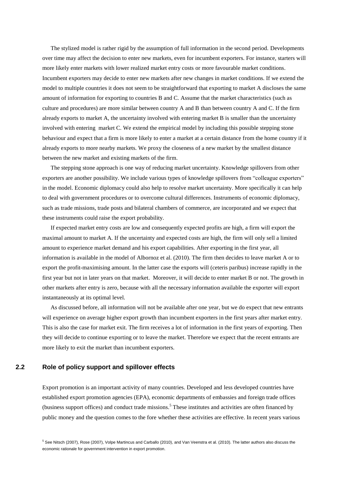The stylized model is rather rigid by the assumption of full information in the second period. Developments over time may affect the decision to enter new markets, even for incumbent exporters. For instance, starters will more likely enter markets with lower realized market entry costs or more favourable market conditions. Incumbent exporters may decide to enter new markets after new changes in market conditions. If we extend the model to multiple countries it does not seem to be straightforward that exporting to market A discloses the same amount of information for exporting to countries B and C. Assume that the market characteristics (such as culture and procedures) are more similar between country A and B than between country A and C. If the firm already exports to market A, the uncertainty involved with entering market B is smaller than the uncertainty involved with entering market C. We extend the empirical model by including this possible stepping stone behaviour and expect that a firm is more likely to enter a market at a certain distance from the home country if it already exports to more nearby markets. We proxy the closeness of a new market by the smallest distance between the new market and existing markets of the firm.

The stepping stone approach is one way of reducing market uncertainty. Knowledge spillovers from other exporters are another possibility. We include various types of knowledge spillovers from "colleague exporters" in the model. Economic diplomacy could also help to resolve market uncertainty. More specifically it can help to deal with government procedures or to overcome cultural differences. Instruments of economic diplomacy, such as trade missions, trade posts and bilateral chambers of commerce, are incorporated and we expect that these instruments could raise the export probability.

If expected market entry costs are low and consequently expected profits are high, a firm will export the maximal amount to market A. If the uncertainty and expected costs are high, the firm will only sell a limited amount to experience market demand and his export capabilities. After exporting in the first year, all information is available in the model of Albornoz et al. (2010). The firm then decides to leave market A or to export the profit-maximising amount. In the latter case the exports will (ceteris paribus) increase rapidly in the first year but not in later years on that market. Moreover, it will decide to enter market B or not. The growth in other markets after entry is zero, because with all the necessary information available the exporter will export instantaneously at its optimal level.

As discussed before, all information will not be available after one year, but we do expect that new entrants will experience on average higher export growth than incumbent exporters in the first years after market entry. This is also the case for market exit. The firm receives a lot of information in the first years of exporting. Then they will decide to continue exporting or to leave the market. Therefore we expect that the recent entrants are more likely to exit the market than incumbent exporters.

#### **2.2 Role of policy support and spillover effects**

Export promotion is an important activity of many countries. Developed and less developed countries have established export promotion agencies (EPA), economic departments of embassies and foreign trade offices (business support offices) and conduct trade missions. <sup>5</sup> These institutes and activities are often financed by public money and the question comes to the fore whether these activities are effective. In recent years various

<sup>&</sup>lt;sup>5</sup> See Nitsch (2007), Rose (2007), Volpe Martincus and Carballo (2010), and Van Veenstra et al. (2010). The latter authors also discuss the economic rationale for government intervention in export promotion.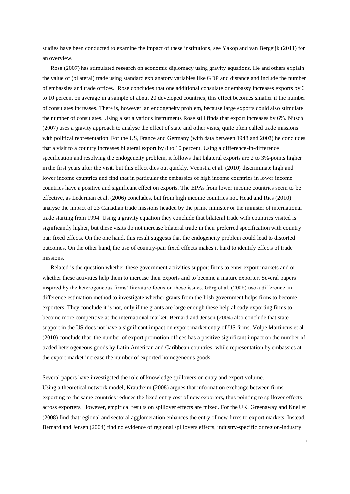studies have been conducted to examine the impact of these institutions, see Yakop and van Bergeijk (2011) for an overview.

Rose (2007) has stimulated research on economic diplomacy using gravity equations. He and others explain the value of (bilateral) trade using standard explanatory variables like GDP and distance and include the number of embassies and trade offices. Rose concludes that one additional consulate or embassy increases exports by 6 to 10 percent on average in a sample of about 20 developed countries, this effect becomes smaller if the number of consulates increases. There is, however, an endogeneity problem, because large exports could also stimulate the number of consulates. Using a set a various instruments Rose still finds that export increases by 6%. Nitsch (2007) uses a gravity approach to analyse the effect of state and other visits, quite often called trade missions with political representation. For the US, France and Germany (with data between 1948 and 2003) he concludes that a visit to a country increases bilateral export by 8 to 10 percent. Using a difference-in-difference specification and resolving the endogeneity problem, it follows that bilateral exports are 2 to 3%-points higher in the first years after the visit, but this effect dies out quickly. Veenstra et al. (2010) discriminate high and lower income countries and find that in particular the embassies of high income countries in lower income countries have a positive and significant effect on exports. The EPAs from lower income countries seem to be effective, as Lederman et al. (2006) concludes, but from high income countries not. Head and Ries (2010) analyse the impact of 23 Canadian trade missions headed by the prime minister or the minister of international trade starting from 1994. Using a gravity equation they conclude that bilateral trade with countries visited is significantly higher, but these visits do not increase bilateral trade in their preferred specification with country pair fixed effects. On the one hand, this result suggests that the endogeneity problem could lead to distorted outcomes. On the other hand, the use of country-pair fixed effects makes it hard to identify effects of trade missions.

Related is the question whether these government activities support firms to enter export markets and or whether these activities help them to increase their exports and to become a mature exporter. Several papers inspired by the heterogeneous firms" literature focus on these issues. Görg et al. (2008) use a difference-indifference estimation method to investigate whether grants from the Irish government helps firms to become exporters. They conclude it is not, only if the grants are large enough these help already exporting firms to become more competitive at the international market. Bernard and Jensen (2004) also conclude that state support in the US does not have a significant impact on export market entry of US firms. Volpe Martincus et al. (2010) conclude that the number of export promotion offices has a positive significant impact on the number of traded heterogeneous goods by Latin American and Caribbean countries, while representation by embassies at the export market increase the number of exported homogeneous goods.

Several papers have investigated the role of knowledge spillovers on entry and export volume. Using a theoretical network model, Krautheim (2008) argues that information exchange between firms exporting to the same countries reduces the fixed entry cost of new exporters, thus pointing to spillover effects across exporters. However, empirical results on spillover effects are mixed. For the UK, Greenaway and Kneller (2008) find that regional and sectoral agglomeration enhances the entry of new firms to export markets. Instead, Bernard and Jensen (2004) find no evidence of regional spillovers effects, industry-specific or region-industry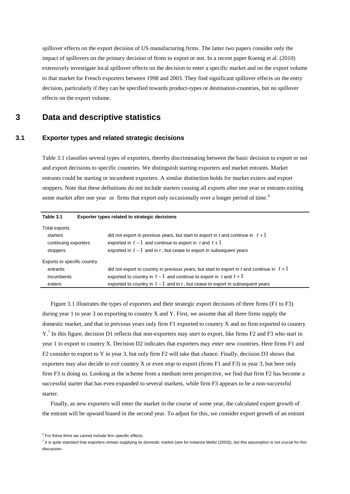spillover effects on the export decision of US manufacturing firms. The latter two papers consider only the impact of spillovers on the primary decision of firms to export or not. In a recent paper Koenig et al. (2010) extensively investigate local spillover effects on the decision to enter a specific market and on the export volume to that market for French exporters between 1998 and 2003. They find significant spillover effects on the entry decision, particularly if they can be specified towards product-types or destination-countries, but no spillover effects on the export volume.

# **3 Data and descriptive statistics**

### **3.1 Exporter types and related strategic decisions**

Table 3.1 classifies several types of exporters, thereby discriminating between the basic decision to export or not and export decisions to specific countries. We distinguish starting exporters and market entrants. Market entrants could be starting or incumbent exporters. A similar distinction holds for market exiters and export stoppers. Note that these definitions do not include starters ceasing all exports after one year or entrants exiting some market after one year or firms that export only occasionally over a longer period of time.<sup>6</sup>

| Table 3.1                                                     | Exporter types related to strategic decisions                                                                                                                                                                      |
|---------------------------------------------------------------|--------------------------------------------------------------------------------------------------------------------------------------------------------------------------------------------------------------------|
| Total exports<br>starters<br>continuing exporters<br>stoppers | did not export in previous years, but start to export in t and continue in $t+1$<br>exported in $t-1$ and continue to export in t and $t+1$<br>exported in $t-1$ and in t, but cease to export in subsequent years |
| Exports to specific country                                   |                                                                                                                                                                                                                    |
| entrants                                                      | did not export to country in previous years, but start to export in t and continue in $t+1$                                                                                                                        |
| incumbents                                                    | exported to country in $t-1$ and continue to export in t and $t+1$                                                                                                                                                 |
| exiters                                                       | exported to country in $t-1$ and in t, but cease to export in subsequent years                                                                                                                                     |

Figure 3.1 illustrates the types of exporters and their strategic export decisions of three firms (F1 to F3) during year 1 to year 3 on exporting to country  $X$  and  $Y$ . First, we assume that all three firms supply the domestic market, and that in previous years only firm F1 exported to country X and no firm exported to country Y.<sup>7</sup> In this figure, decision D1 reflects that non-exporters may *start* to export, like firms F2 and F3 who start in year 1 to export to country X. Decision D2 indicates that exporters may *enter* new countries. Here firms F1 and F2 consider to export to Y in year 3, but only firm F2 will take that chance. Finally, decision D3 shows that exporters may also decide to *exit* country X or even *stop* to export (firms F1 and F3) in year 3, but here only firm F3 is doing so. Looking at the scheme from a medium term perspective, we find that firm F2 has become a successful starter that has even expanded to several markets, while firm F3 appears to be a non-successful starter.

Finally, as new exporters will enter the market in the course of some year, the calculated export growth of the entrant will be upward biased in the second year. To adjust for this, we consider export growth of an entrant

 $^7$  It is quite standard that exporters remain supplying its domestic market (see for instance Melitz (2003)), but this assumption is not crucial for this discussion.

 $6$  For these firms we cannot include firm specific effects.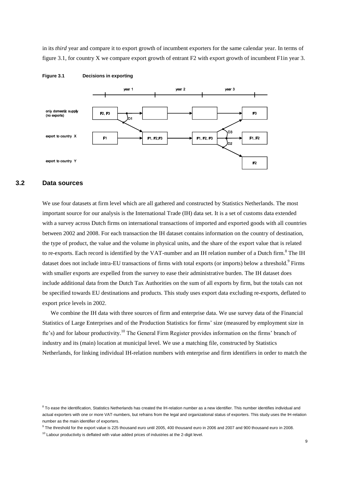in its *third* year and compare it to export growth of incumbent exporters for the same calendar year. In terms of figure 3.1, for country X we compare export growth of entrant F2 with export growth of incumbent F1in year 3.



**Figure 3.1 Decisions in exporting**

### **3.2 Data sources**

We use four datasets at firm level which are all gathered and constructed by Statistics Netherlands. The most important source for our analysis is the International Trade (IH) data set. It is a set of customs data extended with a survey across Dutch firms on international transactions of imported and exported goods with all countries between 2002 and 2008. For each transaction the IH dataset contains information on the country of destination, the type of product, the value and the volume in physical units, and the share of the export value that is related to re-exports. Each record is identified by the VAT-number and an IH relation number of a Dutch firm.<sup>8</sup> The IH dataset does not include intra-EU transactions of firms with total exports (or imports) below a threshold.<sup>9</sup> Firms with smaller exports are expelled from the survey to ease their administrative burden. The IH dataset does include additional data from the Dutch Tax Authorities on the sum of all exports by firm, but the totals can not be specified towards EU destinations and products. This study uses export data excluding re-exports, deflated to export price levels in 2002.

We combine the IH data with three sources of firm and enterprise data. We use survey data of the Financial Statistics of Large Enterprises and of the Production Statistics for firms" size (measured by employment size in fte's) and for labour productivity.<sup>10</sup> The General Firm Register provides information on the firms' branch of industry and its (main) location at municipal level. We use a matching file, constructed by Statistics Netherlands, for linking individual IH-relation numbers with enterprise and firm identifiers in order to match the

<sup>9</sup> The threshold for the export value is 225 thousand euro until 2005, 400 thousand euro in 2006 and 2007 and 900 thousand euro in 2008.

 $8$  To ease the identification, Statistics Netherlands has created the IH-relation number as a new identifier. This number identifies individual and actual exporters with one or more VAT-numbers, but refrains from the legal and organizational status of exporters. This study uses the IH-relation number as the main identifier of exporters.

 $10$  Labour productivity is deflated with value added prices of industries at the 2-digit level.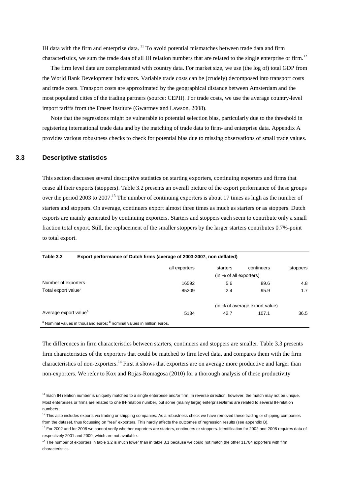IH data with the firm and enterprise data. <sup>11</sup> To avoid potential mismatches between trade data and firm characteristics, we sum the trade data of all IH relation numbers that are related to the single enterprise or firm.<sup>12</sup>

The firm level data are complemented with country data. For market size, we use (the log of) total GDP from the World Bank Development Indicators. Variable trade costs can be (crudely) decomposed into transport costs and trade costs. Transport costs are approximated by the geographical distance between Amsterdam and the most populated cities of the trading partners (source: CEPII). For trade costs, we use the average country-level import tariffs from the Fraser Institute (Gwartney and Lawson, 2008).

Note that the regressions might be vulnerable to potential selection bias, particularly due to the threshold in registering international trade data and by the matching of trade data to firm- and enterprise data. Appendix A provides various robustness checks to check for potential bias due to missing observations of small trade values.

## **3.3 Descriptive statistics**

This section discusses several descriptive statistics on starting exporters, continuing exporters and firms that cease all their exports (stoppers). Table 3.2 presents an overall picture of the export performance of these groups over the period 2003 to 2007.<sup>13</sup> The number of continuing exporters is about 17 times as high as the number of starters and stoppers. On average, continuers export almost three times as much as starters or as stoppers. Dutch exports are mainly generated by continuing exporters. Starters and stoppers each seem to contribute only a small fraction total export. Still, the replacement of the smaller stoppers by the larger starters contributes 0.7%-point to total export.

| Table 3.2                         | Export performance of Dutch firms (average of 2003-2007, non deflated)                       |               |                         |                                |          |  |  |
|-----------------------------------|----------------------------------------------------------------------------------------------|---------------|-------------------------|--------------------------------|----------|--|--|
|                                   |                                                                                              | all exporters | starters                | continuers                     | stoppers |  |  |
|                                   |                                                                                              |               | (in % of all exporters) |                                |          |  |  |
| Number of exporters               |                                                                                              | 16592         | 5.6                     | 89.6                           | 4.8      |  |  |
| Total export value <sup>b</sup>   |                                                                                              | 85209         | 2.4                     | 95.9                           | 1.7      |  |  |
|                                   |                                                                                              |               |                         | (in % of average export value) |          |  |  |
| Average export value <sup>a</sup> |                                                                                              | 5134          | 42.7                    | 107.1                          | 36.5     |  |  |
|                                   | <sup>a</sup> Nominal values in thousand euros; <sup>b</sup> nominal values in million euros. |               |                         |                                |          |  |  |

The differences in firm characteristics between starters, continuers and stoppers are smaller. Table 3.3 presents firm characteristics of the exporters that could be matched to firm level data, and compares them with the firm characteristics of non-exporters.<sup>14</sup> First it shows that exporters are on average more productive and larger than non-exporters. We refer to Kox and Rojas-Romagosa (2010) for a thorough analysis of these productivity

 $11$  Each IH relation number is uniquely matched to a single enterprise and/or firm. In reverse direction, however, the match may not be unique. Most enterprises or firms are related to one IH-relation number, but some (mainly large) enterprises/firms are related to several IH-relation numbers.

 $12$  This also includes exports via trading or shipping companies. As a robustness check we have removed these trading or shipping companies from the dataset, thus focussing on "real" exporters. This hardly affects the outcomes of regression results (see appendix B).

 $13$  For 2002 and for 2008 we cannot verify whether exporters are starters, continuers or stoppers. Identification for 2002 and 2008 requires data of respectively 2001 and 2009, which are not available.

<sup>&</sup>lt;sup>14</sup> The number of exporters in table 3.2 is much lower than in table 3.1 because we could not match the other 11764 exporters with firm characteristics.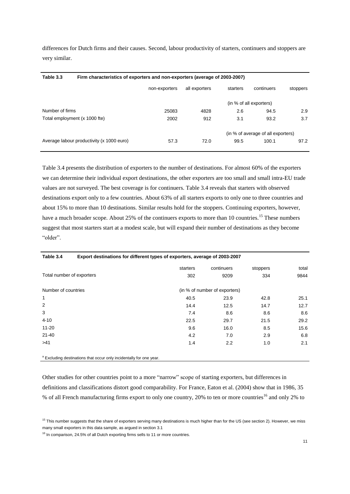differences for Dutch firms and their causes. Second, labour productivity of starters, continuers and stoppers are very similar.

| Table 3.3<br>Firm characteristics of exporters and non-exporters (average of 2003-2007) |                                           |               |               |          |                                    |          |
|-----------------------------------------------------------------------------------------|-------------------------------------------|---------------|---------------|----------|------------------------------------|----------|
|                                                                                         |                                           | non-exporters | all exporters | starters | continuers                         | stoppers |
|                                                                                         |                                           |               |               |          | (in % of all exporters)            |          |
| Number of firms                                                                         |                                           | 25083         | 4828          | 2.6      | 94.5                               | 2.9      |
| Total employment (x 1000 fte)                                                           |                                           | 2002          | 912           | 3.1      | 93.2                               | 3.7      |
|                                                                                         |                                           |               |               |          | (in % of average of all exporters) |          |
|                                                                                         | Average labour productivity (x 1000 euro) | 57.3          | 72.0          | 99.5     | 100.1                              | 97.2     |

Table 3.4 presents the distribution of exporters to the number of destinations. For almost 60% of the exporters we can determine their individual export destinations, the other exporters are too small and small intra-EU trade values are not surveyed. The best coverage is for continuers. Table 3.4 reveals that starters with observed destinations export only to a few countries. About 63% of all starters exports to only one to three countries and about 15% to more than 10 destinations. Similar results hold for the stoppers. Continuing exporters, however, have a much broader scope. About 25% of the continuers exports to more than 10 countries.<sup>15</sup> These numbers suggest that most starters start at a modest scale, but will expand their number of destinations as they become "older".

| continuers<br>starters<br>stoppers<br>Total number of exporters<br>302<br>9209<br>334 | total |
|---------------------------------------------------------------------------------------|-------|
|                                                                                       |       |
|                                                                                       | 9844  |
| Number of countries<br>(in % of number of exporters)                                  |       |
| 1<br>40.5<br>23.9<br>42.8                                                             | 25.1  |
| 2<br>14.4<br>12.5<br>14.7                                                             | 12.7  |
| 3<br>7.4<br>8.6<br>8.6                                                                | 8.6   |
| $4 - 10$<br>22.5<br>29.7<br>21.5                                                      | 29.2  |
| $11 - 20$<br>9.6<br>16.0<br>8.5                                                       | 15.6  |
| $21 - 40$<br>4.2<br>7.0<br>2.9                                                        | 6.8   |
| >41<br>2.2<br>1.4<br>1.0                                                              | 2.1   |
|                                                                                       |       |

a Excluding destinations that occur only incidentally for one year.

Other studies for other countries point to a more "narrow" scope of starting exporters, but differences in definitions and classifications distort good comparability. For France, Eaton et al. (2004) show that in 1986, 35 % of all French manufacturing firms export to only one country, 20% to ten or more countries<sup>16</sup> and only 2% to

<sup>16</sup> In comparison, 24.5% of all Dutch exporting firms sells to 11 or more countries.

<sup>&</sup>lt;sup>15</sup> This number suggests that the share of exporters serving many destinations is much higher than for the US (see section 2). However, we miss many small exporters in this data sample, as argued in section 3.1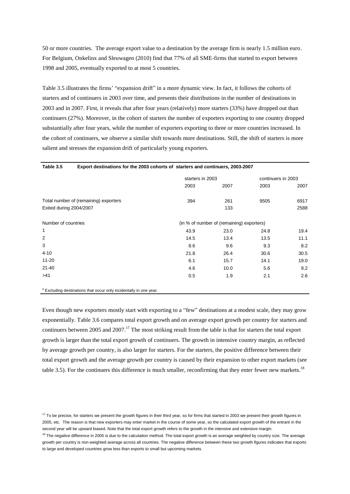50 or more countries. The average export value to a destination by the average firm is nearly 1.5 million euro. For Belgium, Onkelinx and Sleuwagen (2010) find that 77% of all SME-firms that started to export between 1998 and 2005, eventually exported to at most 5 countries.

Table 3.5 illustrates the firms" "expansion drift" in a more dynamic view. In fact, it follows the cohorts of starters and of continuers in 2003 over time, and presents their distributions in the number of destinations in 2003 and in 2007. First, it reveals that after four years (relatively) more starters (33%) have dropped out than continuers (27%). Moreover, in the cohort of starters the number of exporters exporting to one country dropped substantially after four years, while the number of exporters exporting to three or more countries increased. In the cohort of continuers, we observe a similar shift towards more destinations. Still, the shift of starters is more salient and stresses the expansion drift of particularly young exporters.

| Table 3.5               | Export destinations for the 2003 cohorts of starters and continuers, 2003-2007 |      |                                           |      |                    |  |
|-------------------------|--------------------------------------------------------------------------------|------|-------------------------------------------|------|--------------------|--|
|                         |                                                                                |      | starters in 2003                          |      | continuers in 2003 |  |
|                         |                                                                                | 2003 | 2007                                      | 2003 | 2007               |  |
|                         | Total number of (remaining) exporters                                          | 394  | 261                                       | 9505 | 6917               |  |
| Exited during 2004/2007 |                                                                                |      | 133                                       |      | 2588               |  |
| Number of countries     |                                                                                |      | (in % of number of (remaining) exporters) |      |                    |  |
| 1                       |                                                                                | 43.9 | 23.0                                      | 24.8 | 19.4               |  |
| $\overline{2}$          |                                                                                | 14.5 | 13.4                                      | 13.5 | 11.1               |  |
| 3                       |                                                                                | 8.6  | 9.6                                       | 9.3  | 8.2                |  |
| $4 - 10$                |                                                                                | 21.8 | 26.4                                      | 30.6 | 30.5               |  |
| $11 - 20$               |                                                                                | 6.1  | 15.7                                      | 14.1 | 19.0               |  |
| $21 - 40$               |                                                                                | 4.6  | 10.0                                      | 5.6  | 9.2                |  |
| >41                     |                                                                                | 0.5  | 1.9                                       | 2.1  | 2.6                |  |

a Excluding destinations that occur only incidentally in one year.

Even though new exporters mostly start with exporting to a "few" destinations at a modest scale, they may grow exponentially. Table 3.6 compares total export growth and on average export growth per country for starters and continuers between 2005 and 2007.<sup>17</sup> The most striking result from the table is that for starters the total export growth is larger than the total export growth of continuers. The growth in intensive country margin, as reflected by average growth per country, is also larger for starters. For the starters, the positive difference between their total export growth and the average growth per country is caused by their expansion to other export markets (see table 3.5). For the continuers this difference is much smaller, reconfirming that they enter fewer new markets.<sup>18</sup>

 $17$  To be precise, for starters we present the growth figures in their third year, so for firms that started in 2003 we present their growth figures in 2005, etc. The reason is that new exporters may enter market in the course of some year, so the calculated export growth of the entrant in the second year will be upward biased. Note that the total export growth refers to the growth in the intensive and extensive margin.

<sup>&</sup>lt;sup>18</sup> The negative difference in 2005 is due to the calculation method. The total export growth is an average weighted by country size. The average growth per country is non-weighted average across all countries. The negative difference between these two growth figures indicates that exports to large and developed countries grow less than exports to small but upcoming markets.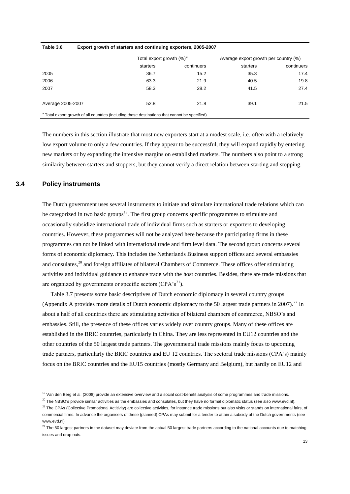| Table 3.6         | Export growth of starters and continuing exporters, 2005-2007                                             |            |                                       |            |
|-------------------|-----------------------------------------------------------------------------------------------------------|------------|---------------------------------------|------------|
|                   | Total export growth (%) <sup>a</sup>                                                                      |            | Average export growth per country (%) |            |
|                   | starters                                                                                                  | continuers | starters                              | continuers |
| 2005              | 36.7                                                                                                      | 15.2       | 35.3                                  | 17.4       |
| 2006              | 63.3                                                                                                      | 21.9       | 40.5                                  | 19.8       |
| 2007              | 58.3                                                                                                      | 28.2       | 41.5                                  | 27.4       |
| Average 2005-2007 | 52.8                                                                                                      | 21.8       | 39.1                                  | 21.5       |
|                   | <sup>a</sup> Total export growth of all countries (including those destinations that cannot be specified) |            |                                       |            |

The numbers in this section illustrate that most new exporters start at a modest scale, i.e. often with a relatively low export volume to only a few countries. If they appear to be successful, they will expand rapidly by entering new markets or by expanding the intensive margins on established markets. The numbers also point to a strong similarity between starters and stoppers, but they cannot verify a direct relation between starting and stopping.

### **3.4 Policy instruments**

The Dutch government uses several instruments to initiate and stimulate international trade relations which can be categorized in two basic groups<sup>19</sup>. The first group concerns specific programmes to stimulate and occasionally subsidize international trade of individual firms such as starters or exporters to developing countries. However, these programmes will not be analyzed here because the participating firms in these programmes can not be linked with international trade and firm level data. The second group concerns several forms of economic diplomacy. This includes the Netherlands Business support offices and several embassies and consulates,<sup>20</sup> and foreign affiliates of bilateral Chambers of Commerce. These offices offer stimulating activities and individual guidance to enhance trade with the host countries. Besides, there are trade missions that are organized by governments or specific sectors  $(CPA's^{21})$ .

Table 3.7 presents some basic descriptives of Dutch economic diplomacy in several country groups (Appendix A provides more details of Dutch economic diplomacy to the 50 largest trade partners in 2007).<sup>22</sup> In about a half of all countries there are stimulating activities of bilateral chambers of commerce, NBSO"s and embassies. Still, the presence of these offices varies widely over country groups. Many of these offices are established in the BRIC countries, particularly in China. They are less represented in EU12 countries and the other countries of the 50 largest trade partners. The governmental trade missions mainly focus to upcoming trade partners, particularly the BRIC countries and EU 12 countries. The sectoral trade missions (CPA"s) mainly focus on the BRIC countries and the EU15 countries (mostly Germany and Belgium), but hardly on EU12 and

<sup>&</sup>lt;sup>19</sup> Van den Berg et al. (2008) provide an extensive overview and a social cost-benefit analysis of some programmes and trade missions.

 $^{20}$  The NBSO's provide similar activities as the embassies and consulates, but they have no formal diplomatic status (see also www.evd.nl).

<sup>&</sup>lt;sup>21</sup> The CPAs (Collective Promotional Actitivity) are collective activities, for instance trade missions but also visits or stands on international fairs, of commercial firms. In advance the organisers of these (planned) CPAs may submit for a tender to attain a subsidy of the Dutch governments (see www.evd.nl)

 $22$  The 50 largest partners in the dataset may deviate from the actual 50 largest trade partners according to the national accounts due to matching issues and drop outs.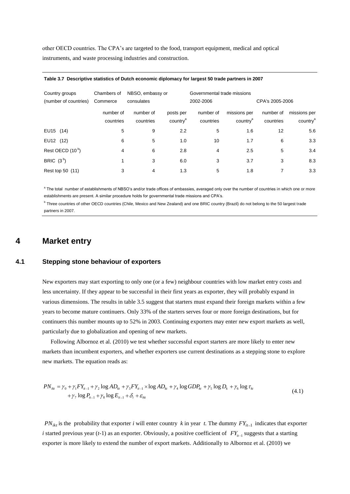other OECD countries. The CPA"s are targeted to the food, transport equipment, medical and optical instruments, and waste processing industries and construction.

| Country groups<br>(number of countries) | Chambers of<br>Commerce | NBSO, embassy or<br>consulates | Governmental trade missions<br>2002-2006 |                        |                                      | CPA's 2005-2006        |                                      |
|-----------------------------------------|-------------------------|--------------------------------|------------------------------------------|------------------------|--------------------------------------|------------------------|--------------------------------------|
|                                         | number of<br>countries  | number of<br>countries         | posts per<br>country <sup>a</sup>        | number of<br>countries | missions per<br>country <sup>a</sup> | number of<br>countries | missions per<br>country <sup>a</sup> |
| EU15 (14)                               | 5                       | 9                              | 2.2                                      | 5                      | 1.6                                  | 12                     | 5.6                                  |
| EU12 (12)                               | 6                       | 5                              | 1.0                                      | 10                     | 1.7                                  | 6                      | 3.3                                  |
| Rest OECD (10 <sup>b</sup> )            | 4                       | 6                              | 2.8                                      | 4                      | 2.5                                  | 5                      | 3.4                                  |
| BRIC $(3^b)$                            |                         | 3                              | 6.0                                      | 3                      | 3.7                                  | 3                      | 8.3                                  |
| Rest top 50 (11)                        | 3                       | 4                              | 1.3                                      | 5                      | 1.8                                  | 7                      | 3.3                                  |

#### **1. Table 3.7 Descriptive statistics of Dutch economic diplomacy for largest 50 trade partners in 2007**

<sup>a</sup> The total number of establishments of NBSO's and/or trade offices of embassies, averaged only over the number of countries in which one or more establishments are present. A similar procedure holds for governmental trade missions and CPA's.

<sup>b</sup> Three countries of other OECD countries (Chile, Mexico and New Zealand) and one BRIC country (Brazil) do not belong to the 50 largest trade partners in 2007.

# **4 Market entry**

### **4.1 Stepping stone behaviour of exporters**

New exporters may start exporting to only one (or a few) neighbour countries with low market entry costs and less uncertainty. If they appear to be successful in their first years as exporter, they will probably expand in various dimensions. The results in table 3.5 suggest that starters must expand their foreign markets within a few years to become mature continuers. Only 33% of the starters serves four or more foreign destinations, but for continuers this number mounts up to 52% in 2003. Continuing exporters may enter new export markets as well, particularly due to globalization and opening of new markets.

Following Albornoz et al. (2010) we test whether successful export starters are more likely to enter new markets than incumbent exporters, and whether exporters use current destinations as a stepping stone to explore new markets. The equation reads as:

$$
PN_{ikt} = \gamma_0 + \gamma_1 F Y_{i_{t-1}} + \gamma_2 \log AD_{kt} + \gamma_3 F Y_{i_{t-1}} \times \log AD_{kt} + \gamma_4 \log GDP_{kt} + \gamma_5 \log D_k + \gamma_6 \log \tau_{kt} + \gamma_7 \log P_{i_{t-1}} + \gamma_8 \log E_{i_{t-1}} + \delta_i + \varepsilon_{ikt}
$$
\n(4.1)

 $PN_{ik}$  is the probability that exporter *i* will enter country *k* in year *t*. The dummy  $FY_{it-1}$  indicates that exporter *i* started previous year (*t*-1) as an exporter. Obviously, a positive coefficient of  $FY_{i-1}$  suggests that a starting exporter is more likely to extend the number of export markets. Additionally to Albornoz et al. (2010) we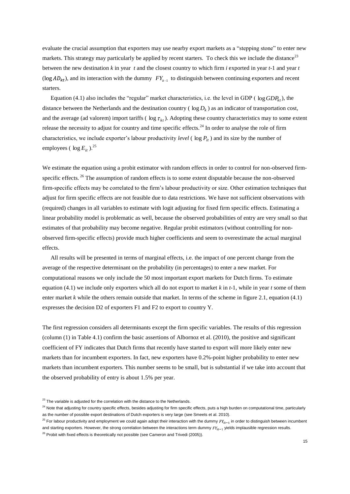evaluate the crucial assumption that exporters may use nearby export markets as a "stepping stone" to enter new markets. This strategy may particularly be applied by recent starters. To check this we include the distance<sup>23</sup> between the new destination *k* in year *t* and the closest country to which firm *i* exported in year *t*-1 and year *t*  $(FY_{i-1})$  and its interaction with the dummy  $FY_{i-1}$  to distinguish between continuing exporters and recent starters.

Equation (4.1) also includes the "regular" market characteristics, i.e. the level in GDP ( $log GDP_{kt}$ ), the distance between the Netherlands and the destination country ( $\log D_k$ ) as an indicator of transportation cost, and the average (ad valorem) import tariffs ( $\log \tau_{kt}$ ). Adopting these country characteristics may to some extent release the necessity to adjust for country and time specific effects.<sup>24</sup> In order to analyse the role of firm characteristics, we include exporter's labour productivity *level* ( $\log P_i$ ) and its size by the number of employees (  $\log E_{it}$  ).<sup>25</sup>

We estimate the equation using a probit estimator with random effects in order to control for non-observed firmspecific effects.<sup>26</sup> The assumption of random effects is to some extent disputable because the non-observed firm-specific effects may be correlated to the firm"s labour productivity or size. Other estimation techniques that adjust for firm specific effects are not feasible due to data restrictions. We have not sufficient observations with (required) changes in all variables to estimate with logit adjusting for fixed firm specific effects. Estimating a linear probability model is problematic as well, because the observed probabilities of entry are very small so that estimates of that probability may become negative. Regular probit estimators (without controlling for nonobserved firm-specific effects) provide much higher coefficients and seem to overestimate the actual marginal effects.

All results will be presented in terms of marginal effects, i.e. the impact of one percent change from the average of the respective determinant on the probability (in percentages) to enter a new market. For computational reasons we only include the 50 most important export markets for Dutch firms. To estimate equation (4.1) we include only exporters which all do not export to market *k* in *t*-1, while in year *t* some of them enter market *k* while the others remain outside that market. In terms of the scheme in figure 2.1, equation (4.1) expresses the decision D2 of exporters F1 and F2 to export to country Y.

The first regression considers all determinants except the firm specific variables. The results of this regression (column (1) in Table 4.1) confirm the basic assertions of Albornoz et al. (2010), the positive and significant coefficient of FY indicates that Dutch firms that recently have started to export will more likely enter new markets than for incumbent exporters. In fact, new exporters have 0.2%-point higher probability to enter new markets than incumbent exporters. This number seems to be small, but is substantial if we take into account that the observed probability of entry is about 1.5% per year.

 $23$  The variable is adjusted for the correlation with the distance to the Netherlands.

<sup>&</sup>lt;sup>24</sup> Note that adjusting for country specific effects, besides adjusting for firm specific effects, puts a high burden on computational time, particularly as the number of possible export destinations of Dutch exporters is very large (see Smeets et al. 2010).

<sup>&</sup>lt;sup>25</sup> For labour productivity and employment we could again adopt their interaction with the dummy  $FY_{it-1}$  in order to distinguish between incumbent and starting exporters. However, the strong correlation between the interactions term dummy  $FY_{it-1}$  yields implausible regression results.

 $26$  Probit with fixed effects is theoretically not possible (see Cameron and Trivedi (2005)).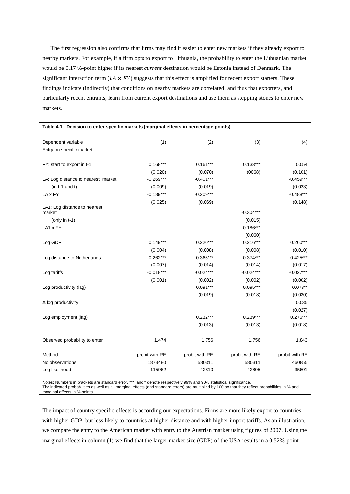The first regression also confirms that firms may find it easier to enter new markets if they already export to nearby markets. For example, if a firm opts to export to Lithuania, the probability to enter the Lithuanian market would be 0.17 %-point higher if its nearest *current* destination would be Estonia instead of Denmark. The significant interaction term  $(LA \times FY)$  suggests that this effect is amplified for recent export starters. These findings indicate (indirectly) that conditions on nearby markets are correlated, and thus that exporters, and particularly recent entrants, learn from current export destinations and use them as stepping stones to enter new markets.

| Dependent variable                     | (1)            | (2)            | (3)            | (4)            |
|----------------------------------------|----------------|----------------|----------------|----------------|
| Entry on specific market               |                |                |                |                |
|                                        |                |                |                |                |
| FY: start to export in t-1             | $0.168***$     | $0.161***$     | $0.133***$     | 0.054          |
|                                        | (0.020)        | (0.070)        | (0068)         | (0.101)        |
| LA: Log distance to nearest market     | $-0.269***$    | $-0.401***$    |                | $-0.459***$    |
| $(in t-1 and t)$                       | (0.009)        | (0.019)        |                | (0.023)        |
| LA x FY                                | $-0.189***$    | $-0.209***$    |                | $-0.488***$    |
|                                        | (0.025)        | (0.069)        |                | (0.148)        |
| LA1: Log distance to nearest<br>market |                |                | $-0.304***$    |                |
| (only in t-1)                          |                |                | (0.015)        |                |
| LA1 x FY                               |                |                | $-0.186***$    |                |
|                                        |                |                | (0.060)        |                |
| Log GDP                                | $0.149***$     | $0.220***$     | $0.216***$     | $0.260***$     |
|                                        | (0.004)        | (0.008)        | (0.008)        | (0.010)        |
| Log distance to Netherlands            | $-0.262***$    | $-0.365***$    | $-0.374***$    | $-0.425***$    |
|                                        | (0.007)        | (0.014)        | (0.014)        | (0.017)        |
| Log tariffs                            | $-0.018***$    | $-0.024***$    | $-0.024***$    | $-0.027***$    |
|                                        | (0.001)        | (0.002)        | (0.002)        | (0.002)        |
| Log productivity (lag)                 |                | $0.091***$     | $0.095***$     | $0.073**$      |
|                                        |                | (0.019)        | (0.018)        | (0.030)        |
| $\Delta$ log productivity              |                |                |                | 0.035          |
|                                        |                |                |                | (0.027)        |
| Log employment (lag)                   |                | $0.232***$     | $0.239***$     | $0.276***$     |
|                                        |                | (0.013)        | (0.013)        | (0.018)        |
|                                        |                |                |                |                |
| Observed probability to enter          | 1.474          | 1.756          | 1.756          | 1.843          |
| Method                                 | probit with RE | probit with RE | probit with RE | probit with RE |
| No observations                        | 1873480        | 580311         | 580311         | 460855         |
| Log likelihood                         | $-115962$      | $-42810$       | $-42805$       | $-35601$       |
|                                        |                |                |                |                |

### **Table 4.1 Decision to enter specific markets (marginal effects in percentage points)**

Notes: Numbers in brackets are standard error. \*\*\* and \* denote respectively 99% and 90% statistical significance. The indicated probabilities as well as all marginal effects (and standard errors) are multiplied by 100 so that they reflect probabilities in % and marginal effects in %-points.

The impact of country specific effects is according our expectations. Firms are more likely export to countries with higher GDP, but less likely to countries at higher distance and with higher import tariffs. As an illustration, we compare the entry to the American market with entry to the Austrian market using figures of 2007. Using the marginal effects in column (1) we find that the larger market size (GDP) of the USA results in a 0.52%-point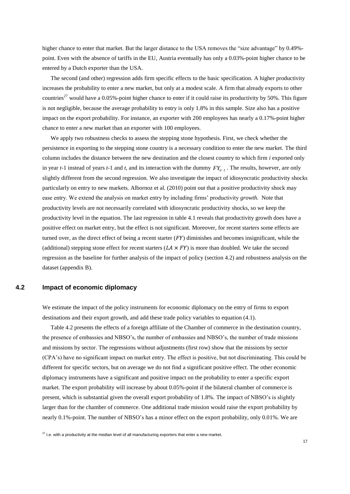higher chance to enter that market. But the larger distance to the USA removes the "size advantage" by 0.49% point. Even with the absence of tariffs in the EU, Austria eventually has only a 0.03%-point higher chance to be entered by a Dutch exporter than the USA.

The second (and other) regression adds firm specific effects to the basic specification. A higher productivity increases the probability to enter a new market, but only at a modest scale. A firm that already exports to other countries<sup>27</sup> would have a 0.05%-point higher chance to enter if it could raise its productivity by 50%. This figure is not negligible, because the average probability to entry is only 1.8% in this sample. Size also has a positive impact on the export probability. For instance, an exporter with 200 employees has nearly a 0.17%-point higher chance to enter a new market than an exporter with 100 employees.

We apply two robustness checks to assess the stepping stone hypothesis. First, we check whether the persistence in exporting to the stepping stone country is a necessary condition to enter the new market. The third column includes the distance between the new destination and the closest country to which firm *i* exported only in year  $t-1$  instead of years  $t-1$  and  $t$ , and its interaction with the dummy  $FY_{t-1}$ . The results, however, are only slightly different from the second regression. We also investigate the impact of idiosyncratic productivity shocks particularly on entry to new markets. Albornoz et al. (2010) point out that a positive productivity shock may ease entry. We extend the analysis on market entry by including firms" productivity *growth*. Note that productivity levels are not necessarily correlated with idiosyncratic productivity shocks, so we keep the productivity level in the equation. The last regression in table 4.1 reveals that productivity growth does have a positive effect on market entry, but the effect is not significant. Moreover, for recent starters some effects are turned over, as the direct effect of being a recent starter  $(FY)$  diminishes and becomes insignificant, while the (additional) stepping stone effect for recent starters  $(LA \times FY)$  is more than doubled. We take the second regression as the baseline for further analysis of the impact of policy (section 4.2) and robustness analysis on the dataset (appendix B).

### **4.2 Impact of economic diplomacy**

We estimate the impact of the policy instruments for economic diplomacy on the entry of firms to export destinations and their export growth, and add these trade policy variables to equation (4.1).

Table 4.2 presents the effects of a foreign affiliate of the Chamber of commerce in the destination country, the presence of embassies and NBSO"s, the number of embassies and NBSO"s, the number of trade missions and missions by sector. The regressions without adjustments (first row) show that the missions by sector (CPA"s) have no significant impact on market entry. The effect is positive, but not discriminating. This could be different for specific sectors, but on average we do not find a significant positive effect. The other economic diplomacy instruments have a significant and positive impact on the probability to enter a specific export market. The export probability will increase by about 0.05%-point if the bilateral chamber of commerce is present, which is substantial given the overall export probability of 1.8%. The impact of NBSO"s is slightly larger than for the chamber of commerce. One additional trade mission would raise the export probability by nearly 0.1%-point. The number of NBSO"s has a minor effect on the export probability, only 0.01%. We are

 $27$  I.e. with a productivity at the median level of all manufacturing exporters that enter a new market.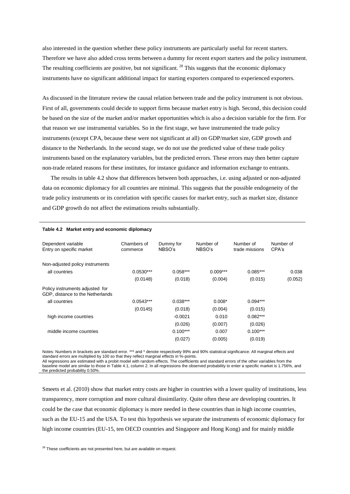also interested in the question whether these policy instruments are particularly useful for recent starters. Therefore we have also added cross terms between a dummy for recent export starters and the policy instrument. The resulting coefficients are positive, but not significant. <sup>28</sup> This suggests that the economic diplomacy instruments have no significant additional impact for starting exporters compared to experienced exporters.

As discussed in the literature review the causal relation between trade and the policy instrument is not obvious. First of all, governments could decide to support firms because market entry is high. Second, this decision could be based on the size of the market and/or market opportunities which is also a decision variable for the firm. For that reason we use instrumental variables. So in the first stage, we have instrumented the trade policy instruments (except CPA, because these were not significant at all) on GDP/market size, GDP growth and distance to the Netherlands. In the second stage, we do not use the predicted value of these trade policy instruments based on the explanatory variables, but the predicted errors. These errors may then better capture non-trade related reasons for these institutes, for instance guidance and information exchange to entrants.

The results in table 4.2 show that differences between both approaches, i.e. using adjusted or non-adjusted data on economic diplomacy for all countries are minimal. This suggests that the possible endogeneity of the trade policy instruments or its correlation with specific causes for market entry, such as market size, distance and GDP growth do not affect the estimations results substantially.

| $1000 - 12$ marrier clinity and coorrolling arpromably              |                         |                     |                     |                             |                    |
|---------------------------------------------------------------------|-------------------------|---------------------|---------------------|-----------------------------|--------------------|
| Dependent variable<br>Entry on specific market                      | Chambers of<br>commerce | Dummy for<br>NBSO's | Number of<br>NBSO's | Number of<br>trade missions | Number of<br>CPA's |
| Non-adjusted policy instruments                                     |                         |                     |                     |                             |                    |
| all countries                                                       | $0.0530***$             | $0.058***$          | $0.009***$          | $0.085***$                  | 0.038              |
|                                                                     | (0.0148)                | (0.018)             | (0.004)             | (0.015)                     | (0.052)            |
| Policy instruments adjusted for<br>GDP, distance to the Netherlands |                         |                     |                     |                             |                    |
| all countries                                                       | $0.0543***$             | $0.038***$          | $0.008*$            | $0.094***$                  |                    |
|                                                                     | (0.0145)                | (0.018)             | (0.004)             | (0.015)                     |                    |
| high income countries                                               |                         | $-0.0021$           | 0.010               | $0.082***$                  |                    |
|                                                                     |                         | (0.026)             | (0.007)             | (0.026)                     |                    |
| middle income countries                                             |                         | $0.100***$          | 0.007               | $0.100***$                  |                    |
|                                                                     |                         | (0.027)             | (0.005)             | (0.019)                     |                    |

#### **Table 4.2 Market entry and economic diplomacy**

Notes: Numbers in brackets are standard error. \*\*\* and \* denote respectively 99% and 90% statistical significance. All marginal effects and standard errors are multiplied by 100 so that they reflect marginal effects in %-points. All regressions are estimated with a probit model with random effects. The coefficients and standard errors of the other variables from the baseline model are similar to those in Table 4.1, column 2. In all regressions the observed probability to enter a specific market is 1.756%, and the predicted probability 0.50%.

Smeets et al. (2010) show that market entry costs are higher in countries with a lower quality of institutions, less transparency, more corruption and more cultural dissimilarity. Quite often these are developing countries. It could be the case that economic diplomacy is more needed in these countries than in high income countries, such as the EU-15 and the USA. To test this hypothesis we separate the instruments of economic diplomacy for high income countries (EU-15, ten OECD countries and Singapore and Hong Kong) and for mainly middle

 $28$  These coefficients are not presented here, but are available on request.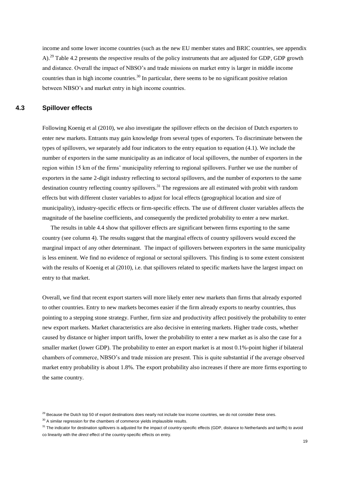income and some lower income countries (such as the new EU member states and BRIC countries, see appendix A).<sup>29</sup> Table 4.2 presents the respective results of the policy instruments that are adjusted for GDP, GDP growth and distance. Overall the impact of NBSO"s and trade missions on market entry is larger in middle income countries than in high income countries.<sup>30</sup> In particular, there seems to be no significant positive relation between NBSO"s and market entry in high income countries.

### **4.3 Spillover effects**

Following Koenig et al (2010), we also investigate the spillover effects on the decision of Dutch exporters to enter new markets. Entrants may gain knowledge from several types of exporters. To discriminate between the types of spillovers, we separately add four indicators to the entry equation to equation (4.1). We include the number of exporters in the same municipality as an indicator of local spillovers, the number of exporters in the region within 15 km of the firms" municipality referring to regional spillovers. Further we use the number of exporters in the same 2-digit industry reflecting to sectoral spillovers, and the number of exporters to the same destination country reflecting country spillovers.<sup>31</sup> The regressions are all estimated with probit with random effects but with different cluster variables to adjust for local effects (geographical location and size of municipality), industry-specific effects or firm-specific effects. The use of different cluster variables affects the magnitude of the baseline coefficients, and consequently the predicted probability to enter a new market.

The results in table 4.4 show that spillover effects are significant between firms exporting to the same country (see column 4). The results suggest that the marginal effects of country spillovers would exceed the marginal impact of any other determinant. The impact of spillovers between exporters in the same municipality is less eminent. We find no evidence of regional or sectoral spillovers. This finding is to some extent consistent with the results of Koenig et al (2010), i.e. that spillovers related to specific markets have the largest impact on entry to that market.

Overall, we find that recent export starters will more likely enter new markets than firms that already exported to other countries. Entry to new markets becomes easier if the firm already exports to nearby countries, thus pointing to a stepping stone strategy. Further, firm size and productivity affect positively the probability to enter new export markets. Market characteristics are also decisive in entering markets. Higher trade costs, whether caused by distance or higher import tariffs, lower the probability to enter a new market as is also the case for a smaller market (lower GDP). The probability to enter an export market is at most 0.1%-point higher if bilateral chambers of commerce, NBSO"s and trade mission are present. This is quite substantial if the average observed market entry probability is about 1.8%. The export probability also increases if there are more firms exporting to the same country.

<sup>&</sup>lt;sup>29</sup> Because the Dutch top 50 of export destinations does nearly not include low income countries, we do not consider these ones.

 $30$  A similar regression for the chambers of commerce yields implausible results.

<sup>&</sup>lt;sup>31</sup> The indicator for destination spillovers is adjusted for the impact of country-specific effects (GDP, distance to Netherlands and tariffs) to avoid co linearity with the *direct* effect of the country-specific effects on entry.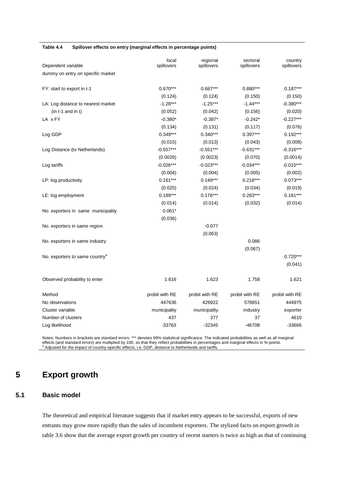#### **Table 4.4 Spillover effects on entry (marginal effects in percentage points)**

| Dependent variable                         | local<br>spillovers | regional<br>spillovers | sectoral<br>spillovers | country<br>spillovers |
|--------------------------------------------|---------------------|------------------------|------------------------|-----------------------|
| dummy on entry on specific market          |                     |                        |                        |                       |
| FY: start to export in t-1                 | $0.670***$          | $0.687***$             | $0.880***$             | $0.187***$            |
|                                            | (0.124)             | (0.124)                | (0.150)                | (0.150)               |
| LA: Log distance to nearest market         | $-1.28***$          | $-1.25***$             | $-1.44***$             | $-0.380***$           |
| $(in t-1 and in t)$                        | (0.052)             | (0.042)                | (0.156)                | (0.020)               |
| LA x FY                                    | $-0.380*$           | $-0.387*$              | $-0.242*$              | $-0.227***$           |
|                                            | (0.134)             | (0.131)                | (0.117)                | (0.076)               |
| Log GDP                                    | $0.349***$          | $0.340***$             | $0.397***$             | $0.192***$            |
|                                            | (0.015)             | (0.013)                | (0.043)                | (0.008)               |
| Log Distance (to Netherlands)              | $-0.557***$         | $-0.551***$            | $-0.631***$            | $-0.316***$           |
|                                            | (0.0026)            | (0.0023)               | (0.070)                | (0.0014)              |
| Log tariffs                                | $-0.026***$         | $-0.023***$            | $-0.034***$            | $-0.015***$           |
|                                            | (0.004)             | (0.004)                | (0.005)                | (0.002)               |
| LP: log productivity                       | $0.161***$          | $0.149***$             | $0.218***$             | $0.073***$            |
|                                            | (0.025)             | (0.024)                | (0.034)                | (0.019)               |
| LE: log employment                         | $0.189***$          | $0.176***$             | $0.283***$             | $0.181***$            |
|                                            | (0.014)             | (0.014)                | (0.032)                | (0.014)               |
| No. exporters in same municipality         | $0.061*$            |                        |                        |                       |
|                                            | (0.036)             |                        |                        |                       |
| No. exporters in same region               |                     | $-0.077$               |                        |                       |
|                                            |                     | (0.063)                |                        |                       |
| No. exporters in same industry             |                     |                        | 0.086                  |                       |
|                                            |                     |                        | (0.067)                |                       |
| No. exporters to same country <sup>a</sup> |                     |                        |                        | $0.720***$            |
|                                            |                     |                        |                        | (0.041)               |
| Observed probability to enter              | 1.616               | 1.623                  | 1.758                  | 1.621                 |
| Method                                     | probit with RE      | probit with RE         | probit with RE         | probit with RE        |
| No observations                            | 447636              | 426922                 | 578651                 | 444975                |
| Cluster variable                           | municipality        | municipality           | industry               | exporter              |
| Number of clusters                         | 437                 | 377                    | 37                     | 4610                  |
| Log likelihood                             | $-33763$            | $-32345$               | $-46708$               | -33666                |

Notes: Numbers in brackets are standard errors. \*\*\* denotes 99% statistical significance. The indicated probabilities as well as all marginal effects (and standard errors) are multiplied by 100, so that they reflect probabilities in percentages and marginal effects in %-points.<br><sup>a</sup> Adjusted for the impact of country-specific effects, i.e. GDP, distance to Nether

# **5 Export growth**

# **5.1 Basic model**

The theoretical and empirical literature suggests that if market entry appears to be successful, exports of new entrants may grow more rapidly than the sales of incumbent exporters. The stylized facts on export growth in table 3.6 show that the average export growth per country of recent starters is twice as high as that of continuing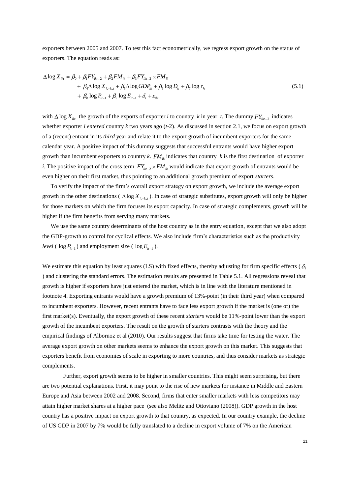exporters between 2005 and 2007. To test this fact econometrically, we regress export growth on the status of exporters. The equation reads as:

$$
\Delta \log X_{ik} = \beta_0 + \beta_1 F Y_{ik-2} + \beta_2 F M_{ik} + \beta_3 F Y_{ik-2} \times F M_{ik}
$$
  
+  $\beta_4 \Delta \log \overline{X}_{i,-k,t} + \beta_5 \Delta \log GDP_{ki} + \beta_6 \log D_k + \beta_7 \log \tau_{ki}$   
+  $\beta_8 \log P_{i-1} + \beta_9 \log E_{i-1} + \delta_i + \varepsilon_{ikt}$  (5.1)

with  $\Delta \log X_{ik}$  the growth of the exports of exporter *i* to country *k* in year *t*. The dummy  $FY_{ik-2}$  indicates whether exporter *i entered* country *k* two years ago (*t*-2). As discussed in section 2.1, we focus on export growth of a (recent) entrant in its *third* year and relate it to the export growth of incumbent exporters for the same calendar year. A positive impact of this dummy suggests that successful entrants would have higher export growth than incumbent exporters to country  $k$ .  $FM_{ik}$  indicates that country  $k$  is the first destination of exporter *i*. The positive impact of the cross term  $FY_{ik-2} \times FM_{ik}$  would indicate that export growth of entrants would be even higher on their first market, thus pointing to an additional growth premium of export *starters*.

To verify the impact of the firm"s overall export strategy on export growth, we include the average export growth in the other destinations ( $\Delta \log \overline{X}_{i,-k,t}$ ). In case of strategic substitutes, export growth will only be higher for those markets on which the firm focuses its export capacity. In case of strategic complements, growth will be higher if the firm benefits from serving many markets.

We use the same country determinants of the host country as in the entry equation, except that we also adopt the GDP-growth to control for cyclical effects. We also include firm"s characteristics such as the productivity *level* ( $\log P_{it-1}$ ) and employment size ( $\log E_{it-1}$ ).

We estimate this equation by least squares (LS) with fixed effects, thereby adjusting for firm specific effects ( $\delta_i$ ) and clustering the standard errors. The estimation results are presented in Table 5.1. All regressions reveal that growth is higher if exporters have just entered the market, which is in line with the literature mentioned in footnote 4. Exporting entrants would have a growth premium of 13%-point (in their third year) when compared to incumbent exporters. However, recent entrants have to face less export growth if the market is (one of) the first market(s). Eventually, the export growth of these recent *starters* would be 11%-point lower than the export growth of the incumbent exporters. The result on the growth of starters contrasts with the theory and the empirical findings of Albornoz et al (2010). Our results suggest that firms take time for testing the water. The average export growth on other markets seems to enhance the export growth on this market. This suggests that exporters benefit from economies of scale in exporting to more countries, and thus consider markets as strategic complements.

Further, export growth seems to be higher in smaller countries. This might seem surprising, but there are two potential explanations. First, it may point to the rise of new markets for instance in Middle and Eastern Europe and Asia between 2002 and 2008. Second, firms that enter smaller markets with less competitors may attain higher market shares at a higher pace (see also Melitz and Ottoviano (2008)). GDP growth in the host country has a positive impact on export growth to that country, as expected. In our country example, the decline of US GDP in 2007 by 7% would be fully translated to a decline in export volume of 7% on the American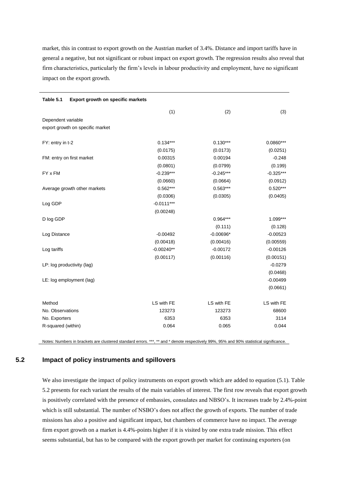market, this in contrast to export growth on the Austrian market of 3.4%. Distance and import tariffs have in general a negative, but not significant or robust impact on export growth. The regression results also reveal that firm characteristics, particularly the firm"s levels in labour productivity and employment, have no significant impact on the export growth.

| Table 5.1<br>Export growth on specific markets |              |             |             |
|------------------------------------------------|--------------|-------------|-------------|
|                                                | (1)          | (2)         | (3)         |
| Dependent variable                             |              |             |             |
| export growth on specific market               |              |             |             |
|                                                |              |             |             |
| FY: entry in t-2                               | $0.134***$   | $0.130***$  | $0.0860***$ |
|                                                | (0.0175)     | (0.0173)    | (0.0251)    |
| FM: entry on first market                      | 0.00315      | 0.00194     | $-0.248$    |
|                                                | (0.0801)     | (0.0799)    | (0.199)     |
| FY x FM                                        | $-0.239***$  | $-0.245***$ | $-0.325***$ |
|                                                | (0.0660)     | (0.0664)    | (0.0912)    |
| Average growth other markets                   | $0.562***$   | $0.563***$  | $0.520***$  |
|                                                | (0.0306)     | (0.0305)    | (0.0405)    |
| Log GDP                                        | $-0.0111***$ |             |             |
|                                                | (0.00248)    |             |             |
| D log GDP                                      |              | $0.964***$  | $1.099***$  |
|                                                |              | (0.111)     | (0.128)     |
| Log Distance                                   | $-0.00492$   | $-0.00696*$ | $-0.00523$  |
|                                                | (0.00418)    | (0.00416)   | (0.00559)   |
| Log tariffs                                    | $-0.00240**$ | $-0.00172$  | $-0.00126$  |
|                                                | (0.00117)    | (0.00116)   | (0.00151)   |
| LP: log productivity (lag)                     |              |             | $-0.0279$   |
|                                                |              |             | (0.0468)    |
| LE: log employment (lag)                       |              |             | $-0.00499$  |
|                                                |              |             | (0.0661)    |
|                                                |              |             |             |
| Method                                         | LS with FE   | LS with FE  | LS with FE  |
| No. Observations                               | 123273       | 123273      | 68600       |
| No. Exporters                                  | 6353         | 6353        | 3114        |
| R-squared (within)                             | 0.064        | 0.065       | 0.044       |
|                                                |              |             |             |

Notes: Numbers in brackets are clustered standard errors. \*\*\*, \*\* and \* denote respectively 99%, 95% and 90% statistical significance.

# **5.2 Impact of policy instruments and spillovers**

We also investigate the impact of policy instruments on export growth which are added to equation (5.1). Table 5.2 presents for each variant the results of the main variables of interest. The first row reveals that export growth is positively correlated with the presence of embassies, consulates and NBSO"s. It increases trade by 2.4%-point which is still substantial. The number of NSBO's does not affect the growth of exports. The number of trade missions has also a positive and significant impact, but chambers of commerce have no impact. The average firm export growth on a market is 4.4%-points higher if it is visited by one extra trade mission. This effect seems substantial, but has to be compared with the export growth per market for continuing exporters (on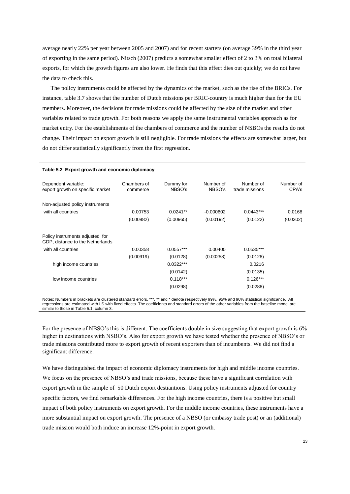average nearly 22% per year between 2005 and 2007) and for recent starters (on average 39% in the third year of exporting in the same period). Nitsch (2007) predicts a somewhat smaller effect of 2 to 3% on total bilateral exports, for which the growth figures are also lower. He finds that this effect dies out quickly; we do not have the data to check this.

The policy instruments could be affected by the dynamics of the market, such as the rise of the BRICs. For instance, table 3.7 shows that the number of Dutch missions per BRIC-country is much higher than for the EU members. Moreover, the decisions for trade missions could be affected by the size of the market and other variables related to trade growth. For both reasons we apply the same instrumental variables approach as for market entry. For the establishments of the chambers of commerce and the number of NSBOs the results do not change. Their impact on export growth is still negligible. For trade missions the effects are somewhat larger, but do not differ statistically significantly from the first regression.

| Table 5.2 Export growth and economic diplomacy                      |                         |                     |                     |                             |                    |  |  |  |
|---------------------------------------------------------------------|-------------------------|---------------------|---------------------|-----------------------------|--------------------|--|--|--|
| Dependent variable:<br>export growth on specific market             | Chambers of<br>commerce | Dummy for<br>NBSO's | Number of<br>NBSO's | Number of<br>trade missions | Number of<br>CPA's |  |  |  |
| Non-adjusted policy instruments                                     |                         |                     |                     |                             |                    |  |  |  |
| with all countries                                                  | 0.00753                 | $0.0241**$          | $-0.000602$         | $0.0443***$                 | 0.0168             |  |  |  |
|                                                                     | (0.00882)               | (0.00965)           | (0.00192)           | (0.0122)                    | (0.0302)           |  |  |  |
| Policy instruments adjusted for<br>GDP, distance to the Netherlands |                         |                     |                     |                             |                    |  |  |  |
| with all countries                                                  | 0.00358                 | $0.0557***$         | 0.00400             | $0.0535***$                 |                    |  |  |  |
|                                                                     | (0.00919)               | (0.0128)            | (0.00258)           | (0.0128)                    |                    |  |  |  |
| high income countries                                               |                         | $0.0322***$         |                     | 0.0216                      |                    |  |  |  |
|                                                                     |                         | (0.0142)            |                     | (0.0135)                    |                    |  |  |  |
| low income countries                                                |                         | $0.118***$          |                     | $0.126***$                  |                    |  |  |  |
|                                                                     |                         | (0.0298)            |                     | (0.0288)                    |                    |  |  |  |
|                                                                     |                         |                     |                     |                             |                    |  |  |  |

Notes: Numbers in brackets are clustered standard errors. \*\*\*, \*\* and \* denote respectively 99%, 95% and 90% statistical significance. All regressions are estimated with LS with fixed effects. The coefficients and standard errors of the other variables from the baseline model are similar to those in Table 5.1, column 3.

For the presence of NBSO's this is different. The coefficients double in size suggesting that export growth is 6% higher in destinations with NSBO's. Also for export growth we have tested whether the presence of NBSO's or trade missions contributed more to export growth of recent exporters than of incumbents. We did not find a significant difference.

We have distinguished the impact of economic diplomacy instruments for high and middle income countries. We focus on the presence of NBSO's and trade missions, because these have a significant correlation with export growth in the sample of 50 Dutch export destiantions. Using policy instruments adjusted for country specific factors, we find remarkable differences. For the high income countries, there is a positive but small impact of both policy instruments on export growth. For the middle income countries, these instruments have a more substantial impact on export growth. The presence of a NBSO (or embassy trade post) or an (additional) trade mission would both induce an increase 12%-point in export growth.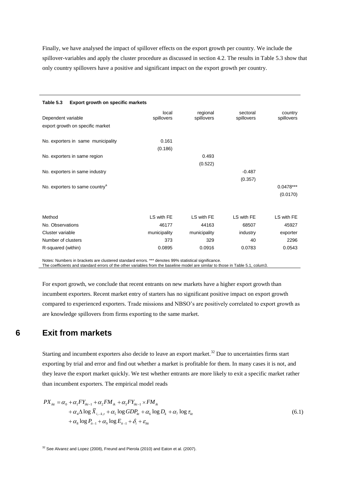Finally, we have analysed the impact of spillover effects on the export growth per country. We include the spillover-variables and apply the cluster procedure as discussed in section 4.2. The results in Table 5.3 show that only country spillovers have a positive and significant impact on the export growth per country.

| Table 5.3<br>Export growth on specific markets         |                     |                        |                        |                         |
|--------------------------------------------------------|---------------------|------------------------|------------------------|-------------------------|
| Dependent variable<br>export growth on specific market | local<br>spillovers | regional<br>spillovers | sectoral<br>spillovers | country<br>spillovers   |
| No. exporters in same municipality                     | 0.161<br>(0.186)    |                        |                        |                         |
| No. exporters in same region                           |                     | 0.493<br>(0.522)       |                        |                         |
| No. exporters in same industry                         |                     |                        | $-0.487$<br>(0.357)    |                         |
| No. exporters to same country <sup>a</sup>             |                     |                        |                        | $0.0478***$<br>(0.0170) |
|                                                        |                     |                        |                        |                         |
| Method                                                 | LS with FE          | LS with FE             | LS with FE             | LS with FE              |
| No. Observations                                       | 46177               | 44163                  | 68507                  | 45927                   |
| Cluster variable                                       | municipality        | municipality           | industry               | exporter                |
| Number of clusters                                     | 373                 | 329                    | 40                     | 2296                    |
| R-squared (within)                                     | 0.0895              | 0.0916                 | 0.0783                 | 0.0543                  |

Notes: Numbers in brackets are clustered standard errors. \*\*\* denotes 99% statistical significance.

The coefficients and standard errors of the other variables from the baseline model are similar to those in Table 5.1, colum3

For export growth, we conclude that recent entrants on new markets have a higher export growth than incumbent exporters. Recent market entry of starters has no significant positive impact on export growth compared to experienced exporters. Trade missions and NBSO"s are positively correlated to export growth as are knowledge spillovers from firms exporting to the same market.

# **6 Exit from markets**

Starting and incumbent exporters also decide to leave an export market.<sup>32</sup> Due to uncertainties firms start exporting by trial and error and find out whether a market is profitable for them. In many cases it is not, and they leave the export market quickly. We test whether entrants are more likely to exit a specific market rather than incumbent exporters. The empirical model reads

$$
PX_{ik} = \alpha_0 + \alpha_1 FY_{ik-1} + \alpha_2 FM_{ik} + \alpha_3 FY_{ik-1} \times FM_{ik}
$$
  
+  $\alpha_4 \Delta \log \overline{X}_{i,-k,t} + \alpha_5 \log GDP_{ki} + \alpha_6 \log D_k + \alpha_7 \log \tau_{ki}$   
+  $\alpha_8 \log P_{ik-1} + \alpha_9 \log E_{ik-1} + \delta_i + \varepsilon_{ikt}$  (6.1)

 $32$  See Alvarez and Lopez (2008), Freund and Pierola (2010) and Eaton et al. (2007).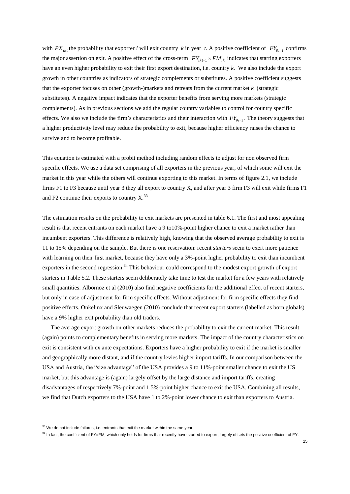with  $PX_{ik}$  the probability that exporter *i* will exit country *k* in year *t*. A positive coefficient of  $FY_{ik-1}$  confirms the major assertion on exit. A positive effect of the cross-term  $FY_{ik-1} \times FM_{ik}$  indicates that starting exporters have an even higher probability to exit their first export destination, i.e. country *k*. We also include the export growth in other countries as indicators of strategic complements or substitutes. A positive coefficient suggests that the exporter focuses on other (growth-)markets and retreats from the current market *k* (strategic substitutes). A negative impact indicates that the exporter benefits from serving more markets (strategic complements). As in previous sections we add the regular country variables to control for country specific effects. We also we include the firm's characteristics and their interaction with  $FY_{ik-1}$ . The theory suggests that a higher productivity level may reduce the probability to exit, because higher efficiency raises the chance to survive and to become profitable.

This equation is estimated with a probit method including random effects to adjust for non observed firm specific effects. We use a data set comprising of all exporters in the previous year, of which some will exit the market in this year while the others will continue exporting to this market. In terms of figure 2.1, we include firms F1 to F3 because until year 3 they all export to country X, and after year 3 firm F3 will exit while firms F1 and F2 continue their exports to country  $X<sup>33</sup>$ .

The estimation results on the probability to exit markets are presented in table 6.1. The first and most appealing result is that recent entrants on each market have a 9 to10%-point higher chance to exit a market rather than incumbent exporters. This difference is relatively high, knowing that the observed average probability to exit is 11 to 15% depending on the sample. But there is one reservation: recent *starters* seem to exert more patience with learning on their first market, because they have only a 3%-point higher probability to exit than incumbent exporters in the second regression.<sup>34</sup> This behaviour could correspond to the modest export growth of export starters in Table 5.2. These starters seem deliberately take time to test the market for a few years with relatively small quantities. Albornoz et al (2010) also find negative coefficients for the additional effect of recent starters, but only in case of adjustment for firm specific effects. Without adjustment for firm specific effects they find positive effects. Onkelinx and Sleuwaegen (2010) conclude that recent export starters (labelled as born globals) have a 9% higher exit probability than old traders.

The average export growth on other markets reduces the probability to exit the current market. This result (again) points to complementary benefits in serving more markets. The impact of the country characteristics on exit is consistent with ex ante expectations. Exporters have a higher probability to exit if the market is smaller and geographically more distant, and if the country levies higher import tariffs. In our comparison between the USA and Austria, the "size advantage" of the USA provides a 9 to 11%-point smaller chance to exit the US market, but this advantage is (again) largely offset by the large distance and import tariffs, creating disadvantages of respectively 7%-point and 1.5%-point higher chance to exit the USA. Combining all results, we find that Dutch exporters to the USA have 1 to 2%-point lower chance to exit than exporters to Austria.

 $33$  We do not include failures, i.e. entrants that exit the market within the same year.

<sup>&</sup>lt;sup>34</sup> In fact, the coefficient of FY×FM, which only holds for firms that recently have started to export, largely offsets the positive coefficient of FY.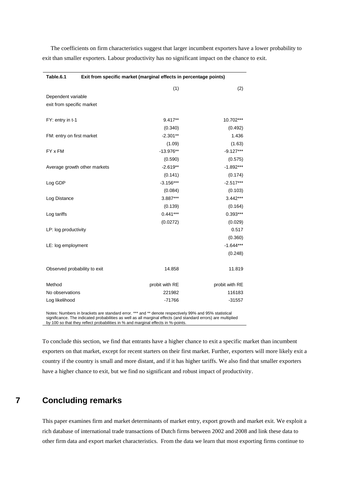The coefficients on firm characteristics suggest that larger incumbent exporters have a lower probability to exit than smaller exporters. Labour productivity has no significant impact on the chance to exit.

| Table.6.1                    | Exit from specific market (marginal effects in percentage points) |                |                |  |  |
|------------------------------|-------------------------------------------------------------------|----------------|----------------|--|--|
|                              |                                                                   | (1)            | (2)            |  |  |
| Dependent variable           |                                                                   |                |                |  |  |
| exit from specific market    |                                                                   |                |                |  |  |
| FY: entry in t-1             |                                                                   | $9.417**$      | 10.702***      |  |  |
|                              |                                                                   | (0.340)        | (0.492)        |  |  |
| FM: entry on first market    |                                                                   | $-2.301**$     | 1.436          |  |  |
|                              |                                                                   | (1.09)         | (1.63)         |  |  |
| FY x FM                      |                                                                   | $-13.976**$    | $-9.127***$    |  |  |
|                              |                                                                   | (0.590)        | (0.575)        |  |  |
| Average growth other markets |                                                                   | $-2.619**$     | $-1.892***$    |  |  |
|                              |                                                                   | (0.141)        | (0.174)        |  |  |
| Log GDP                      |                                                                   | $-3.156***$    | $-2.517***$    |  |  |
|                              |                                                                   | (0.084)        | (0.103)        |  |  |
| Log Distance                 |                                                                   | 3.887***       | $3.442***$     |  |  |
|                              |                                                                   | (0.139)        | (0.164)        |  |  |
| Log tariffs                  |                                                                   | $0.441***$     | $0.393***$     |  |  |
|                              |                                                                   | (0.0272)       | (0.029)        |  |  |
| LP: log productivity         |                                                                   |                | 0.517          |  |  |
|                              |                                                                   |                | (0.360)        |  |  |
| LE: log employment           |                                                                   |                | $-1.644***$    |  |  |
|                              |                                                                   |                | (0.248)        |  |  |
| Observed probability to exit |                                                                   | 14.858         | 11.819         |  |  |
| Method                       |                                                                   | probit with RE | probit with RE |  |  |
| No observations              |                                                                   | 221982         | 116183         |  |  |
| Log likelihood               |                                                                   | $-71766$       | $-31557$       |  |  |

Notes: Numbers in brackets are standard error. \*\*\* and \*\* denote respectively 99% and 95% statistical significance. The indicated probabilities as well as all marginal effects (and standard errors) are multiplied by 100 so that they reflect probabilities in % and marginal effects in %-points.

To conclude this section, we find that entrants have a higher chance to exit a specific market than incumbent exporters on that market, except for recent starters on their first market. Further, exporters will more likely exit a country if the country is small and more distant, and if it has higher tariffs. We also find that smaller exporters have a higher chance to exit, but we find no significant and robust impact of productivity.

# **7 Concluding remarks**

This paper examines firm and market determinants of market entry, export growth and market exit. We exploit a rich database of international trade transactions of Dutch firms between 2002 and 2008 and link these data to other firm data and export market characteristics. From the data we learn that most exporting firms continue to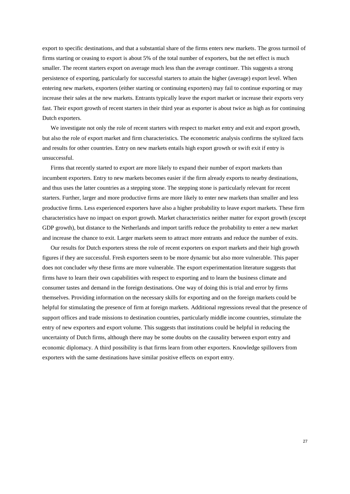export to specific destinations, and that a substantial share of the firms enters new markets. The gross turmoil of firms starting or ceasing to export is about 5% of the total number of exporters, but the net effect is much smaller. The recent starters export on average much less than the average continuer. This suggests a strong persistence of exporting, particularly for successful starters to attain the higher (average) export level. When entering new markets, exporters (either starting or continuing exporters) may fail to continue exporting or may increase their sales at the new markets. Entrants typically leave the export market or increase their exports very fast. Their export growth of recent starters in their third year as exporter is about twice as high as for continuing Dutch exporters.

We investigate not only the role of recent starters with respect to market entry and exit and export growth, but also the role of export market and firm characteristics. The econometric analysis confirms the stylized facts and results for other countries. Entry on new markets entails high export growth or swift exit if entry is unsuccessful.

Firms that recently started to export are more likely to expand their number of export markets than incumbent exporters. Entry to new markets becomes easier if the firm already exports to nearby destinations, and thus uses the latter countries as a stepping stone. The stepping stone is particularly relevant for recent starters. Further, larger and more productive firms are more likely to enter new markets than smaller and less productive firms. Less experienced exporters have also a higher probability to leave export markets. These firm characteristics have no impact on export growth. Market characteristics neither matter for export growth (except GDP growth), but distance to the Netherlands and import tariffs reduce the probability to enter a new market and increase the chance to exit. Larger markets seem to attract more entrants and reduce the number of exits.

Our results for Dutch exporters stress the role of recent exporters on export markets and their high growth figures if they are successful. Fresh exporters seem to be more dynamic but also more vulnerable. This paper does not concluder *why* these firms are more vulnerable. The export experimentation literature suggests that firms have to learn their own capabilities with respect to exporting and to learn the business climate and consumer tastes and demand in the foreign destinations. One way of doing this is trial and error by firms themselves. Providing information on the necessary skills for exporting and on the foreign markets could be helpful for stimulating the presence of firm at foreign markets. Additional regressions reveal that the presence of support offices and trade missions to destination countries, particularly middle income countries, stimulate the entry of new exporters and export volume. This suggests that institutions could be helpful in reducing the uncertainty of Dutch firms, although there may be some doubts on the causality between export entry and economic diplomacy. A third possibility is that firms learn from other exporters. Knowledge spillovers from exporters with the same destinations have similar positive effects on export entry.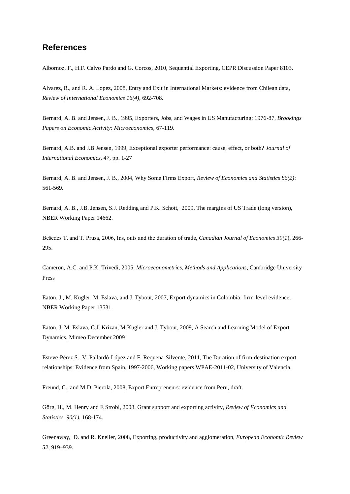# **References**

Albornoz, F., H.F. Calvo Pardo and G. Corcos, 2010, Sequential Exporting, CEPR Discussion Paper 8103.

Alvarez, R., and R. A. Lopez, 2008, Entry and Exit in International Markets: evidence from Chilean data, *Review of International Economics 16(4)*, 692-708.

Bernard, A. B. and Jensen, J. B., 1995, Exporters, Jobs, and Wages in US Manufacturing: 1976-87, *Brookings Papers on Economic Activity: Microeconomics*, 67-119.

Bernard, A.B. and J.B Jensen, 1999, Exceptional exporter performance: cause, effect, or both? *Journal of International Economics, 47*, pp. 1-27

Bernard, A. B. and Jensen, J. B., 2004, Why Some Firms Export, *Review of Economics and Statistics 86(2)*: 561-569.

Bernard, A. B., J.B. Jensen, S.J. Redding and P.K. Schott, 2009, The margins of US Trade (long version), NBER Working Paper 14662.

Bešedes T. and T. Prusa, 2006, Ins, outs and the duration of trade, *Canadian Journal of Economics 39(1*), 266- 295.

Cameron, A.C. and P.K. Trivedi, 2005, *Microeconometrics, Methods and Applications*, Cambridge University Press

Eaton, J., M. Kugler, M. Eslava, and J. Tybout, 2007, Export dynamics in Colombia: firm-level evidence, NBER Working Paper 13531.

Eaton, J. M. Eslava, C.J. Krizan, M.Kugler and J. Tybout, 2009, A Search and Learning Model of Export Dynamics, Mimeo December 2009

Esteve-Pérez S., V. Pallardó-López and F. Requena-Silvente, 2011, The Duration of firm-destination export relationships: Evidence from Spain, 1997-2006, Working papers WPAE-2011-02, University of Valencia.

Freund, C., and M.D. Pierola, 2008, Export Entrepreneurs: evidence from Peru, draft.

Görg, H., M. Henry and E Strobl, 2008, Grant support and exporting activity, *Review of Economics and Statistics 90(1)*, 168-174.

Greenaway, D. and R. Kneller, 2008, Exporting, productivity and agglomeration, *European Economic Review 52,* 919–939.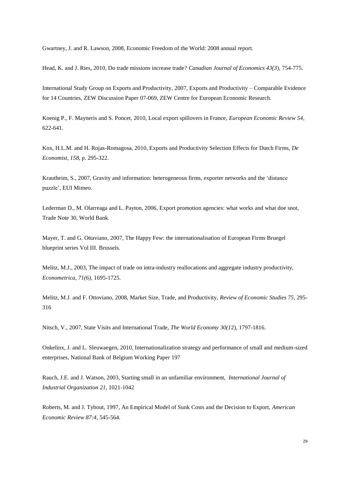Gwartney, J. and R. Lawson, 2008, Economic Freedom of the World: 2008 annual report.

Head, K. and J. Ries, 2010, Do trade missions increase trade? *Canadian Journal of Economics 43(3*), 754-775.

International Study Group on Exports and Productivity, 2007, Exports and Productivity – Comparable Evidence for 14 Countries, ZEW Discussion Paper 07-069, ZEW Centre for European Economic Research.

Koenig P., F. Mayneris and S. Poncet, 2010, Local export spillovers in France, *European Economic Review 54*, 622-641.

Kox, H.L.M. and H. Rojas-Romagosa, 2010, Exports and Productivity Selection Effects for Dutch Firms, *De Economist, 158*, p. 295-322.

Krautheim, S., 2007, Gravity and information: heterogeneous firms, exporter networks and the "distance puzzle", EUI Mimeo.

Lederman D., M. Olarreaga and L. Payton, 2006, Export promotion agencies: what works and what doe snot, Trade Note 30, World Bank.

Mayer, T. and G. Ottaviano, 2007, The Happy Few: the internationalisation of European Firms Bruegel blueprint series Vol III. Brussels.

Melitz, M.J., 2003, The impact of trade on intra-industry reallocations and aggregate industry productivity, *Econometrica, 71(6),* 1695-1725.

Melitz, M.J. and F. Ottoviano, 2008, Market Size, Trade, and Productivity, *Review of Economic Studies 75*, 295- 316

Nitsch, V., 2007, State Visits and International Trade, *The World Economy 30(1*2), 1797-1816.

Onkelinx, J. and L. Sleuwaegen, 2010, Internationalization strategy and performance of small and medium-sized enterprises, National Bank of Belgium Working Paper 197

Rauch, J.E. and J. Watson, 2003, Starting small in an unfamiliar environment, *International Journal of Industrial Organization 21*, 1021-1042

Roberts, M. and J. Tybout, 1997, An Empirical Model of Sunk Costs and the Decision to Export, *American Economic Review 87:4*, 545-564.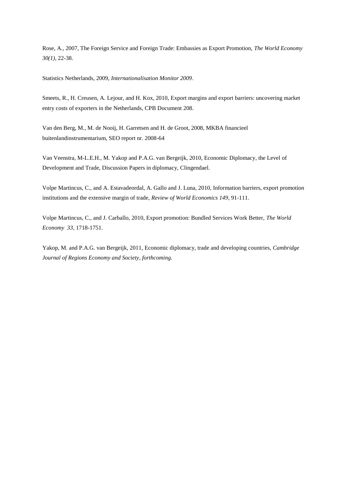Rose, A., 2007, The Foreign Service and Foreign Trade: Embassies as Export Promotion, *The World Economy 30(1)*, 22-38.

Statistics Netherlands, 2009, *Internationalisation Monitor 2009*.

Smeets, R., H. Creusen, A. Lejour, and H. Kox, 2010, Export margins and export barriers: uncovering market entry costs of exporters in the Netherlands, CPB Document 208.

Van den Berg, M., M. de Nooij, H. Garretsen and H. de Groot, 2008, MKBA financieel buitenlandinstrumentarium, SEO report nr. 2008-64

Van Veenstra, M-L.E.H., M. Yakop and P.A.G. van Bergeijk, 2010, Economic Diplomacy, the Level of Development and Trade, Discussion Papers in diplomacy, Clingendael.

Volpe Martincus, C., and A. Estavadeordal, A. Gallo and J. Luna, 2010, Information barriers, export promotion institutions and the extensive margin of trade, *Review of World Economics 149*, 91-111.

Volpe Martincus, C., and J. Carballo, 2010, Export promotion: Bundled Services Work Better, *The World Economy 33*, 1718-1751.

Yakop, M. and P.A.G. van Bergeijk, 2011, Economic diplomacy, trade and developing countries, *Cambridge Journal of Regions Economy and Society*, *forthcoming.*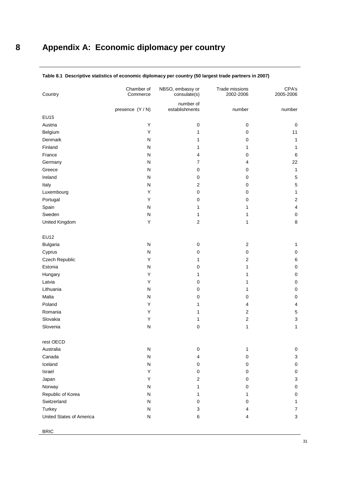| Country                  | Chamber of<br>Commerce | NBSO, embassy or<br>consulate(s) | Trade missions<br>2002-2006 | CPA's<br>2005-2006 |  |
|--------------------------|------------------------|----------------------------------|-----------------------------|--------------------|--|
|                          | presence (Y / N)       | number of<br>establishments      | number                      | number             |  |
| EU15                     |                        |                                  |                             |                    |  |
| Austria                  | Υ                      | $\mathbf 0$                      | $\pmb{0}$                   | $\mathsf 0$        |  |
| Belgium                  | Υ                      | 1                                | $\mathbf 0$                 | 11                 |  |
| Denmark                  | ${\sf N}$              | 1                                | 0                           | $\mathbf{1}$       |  |
| Finland                  | N                      | 1                                | $\mathbf{1}$                | $\mathbf{1}$       |  |
| France                   | ${\sf N}$              | 4                                | 0                           | 6                  |  |
| Germany                  | ${\sf N}$              | $\overline{7}$                   | 4                           | 22                 |  |
| Greece                   | ${\sf N}$              | $\mathbf 0$                      | 0                           | $\mathbf{1}$       |  |
| Ireland                  | ${\sf N}$              | $\pmb{0}$                        | 0                           | $\sqrt{5}$         |  |
| Italy                    | ${\sf N}$              | $\mathbf{2}$                     | $\pmb{0}$                   | 5                  |  |
| Luxembourg               | Υ                      | $\mathbf 0$                      | $\mathbf 0$                 | $\mathbf{1}$       |  |
| Portugal                 | Υ                      | $\pmb{0}$                        | 0                           | $\overline{c}$     |  |
| Spain                    | ${\sf N}$              | 1                                | 1                           | 4                  |  |
| Sweden                   | N                      | 1                                | 1                           | $\mathsf 0$        |  |
| United Kingdom           | Υ                      | $\overline{2}$                   | 1                           | $\bf 8$            |  |
| <b>EU12</b>              |                        |                                  |                             |                    |  |
| Bulgaria                 | ${\sf N}$              | $\pmb{0}$                        | $\overline{2}$              | $\mathbf{1}$       |  |
| Cyprus                   | ${\sf N}$              | $\mathbf 0$                      | 0                           | $\mathsf 0$        |  |
| Czech Republic           | Y                      | 1                                | $\overline{2}$              | 6                  |  |
| Estonia                  | ${\sf N}$              | $\mathbf 0$                      | 1                           | $\mathsf 0$        |  |
| Hungary                  | Υ                      | 1                                | 1                           | $\mathsf 0$        |  |
| Latvia                   | Y                      | $\mathbf 0$                      | 1                           | $\mathsf 0$        |  |
| Lithuania                | ${\sf N}$              | 0                                | 1                           | $\mathsf 0$        |  |
| Malta                    | ${\sf N}$              | $\pmb{0}$                        | 0                           | $\mathsf 0$        |  |
| Poland                   | Υ                      | 1                                | 4                           | 4                  |  |
| Romania                  | Υ                      | 1                                | $\overline{\mathbf{c}}$     | 5                  |  |
| Slovakia                 | Υ                      | 1                                | $\overline{\mathbf{c}}$     | 3                  |  |
| Slovenia                 | ${\sf N}$              | $\pmb{0}$                        | 1                           | $\mathbf{1}$       |  |
| rest OECD                |                        |                                  |                             |                    |  |
| Australia                | ${\sf N}$              | $\pmb{0}$                        | 1                           | 0                  |  |
| Canada                   | ${\sf N}$              | 4                                | $\pmb{0}$                   | $\mathbf{3}$       |  |
| Iceland                  | ${\sf N}$              | 0                                | 0                           | $\mathsf 0$        |  |
| Israel                   | Υ                      | $\pmb{0}$                        | 0                           | 0                  |  |
| Japan                    | Υ                      | $\overline{c}$                   | 0                           | $\mathbf{3}$       |  |
| Norway                   | ${\sf N}$              | $\mathbf{1}$                     | $\mathbf 0$                 | $\mathsf 0$        |  |
| Republic of Korea        | ${\sf N}$              | 1                                | 1                           | $\mathsf 0$        |  |
| Switzerland              | ${\sf N}$              | $\mathbf 0$                      | 0                           | 1                  |  |
| Turkey                   | N                      | 3                                | 4                           | $\overline{7}$     |  |
| United States of America | ${\sf N}$              | 6                                | 4                           | 3                  |  |
| <b>BRIC</b>              |                        |                                  |                             |                    |  |

### **Table 8.1 Descriptive statistics of economic diplomacy per country (50 largest trade partners in 2007)**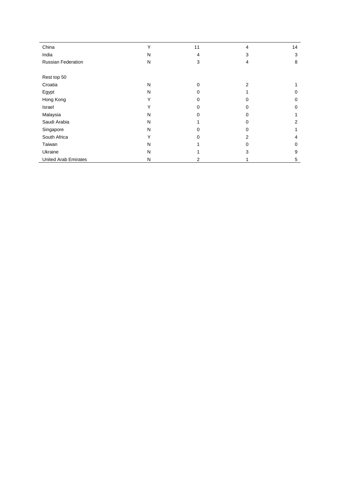| China                       | Υ | 11       | 4        | 14 |
|-----------------------------|---|----------|----------|----|
| India                       | N | 4        | 3        | 3  |
| <b>Russian Federation</b>   | N | 3        | 4        | 8  |
|                             |   |          |          |    |
| Rest top 50                 |   |          |          |    |
| Croatia                     | N | $\Omega$ | 2        |    |
| Egypt                       | N | $\Omega$ |          | 0  |
| Hong Kong                   | Y | 0        | 0        | 0  |
| Israel                      | Y | 0        | 0        | 0  |
| Malaysia                    | N | $\Omega$ | $\Omega$ |    |
| Saudi Arabia                | N |          | 0        | 2  |
| Singapore                   | N | $\Omega$ | $\Omega$ |    |
| South Africa                | Y | $\Omega$ | 2        | 4  |
| Taiwan                      | N |          | 0        | 0  |
| Ukraine                     | N |          | 3        | 9  |
| <b>United Arab Emirates</b> | Ν | 2        |          | 5  |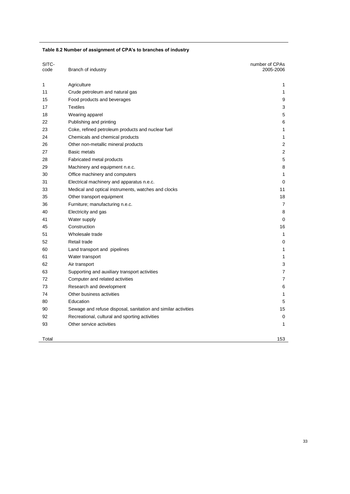## **Table 8.2 Number of assignment of CPA's to branches of industry**

| SITC-<br>code | Branch of industry                                            | number of CPAs<br>2005-2006 |
|---------------|---------------------------------------------------------------|-----------------------------|
|               |                                                               |                             |
| 1             | Agriculture                                                   | 1                           |
| 11            | Crude petroleum and natural gas                               | 1                           |
| 15            | Food products and beverages                                   | 9                           |
| 17            | <b>Textiles</b>                                               | 3                           |
| 18            | Wearing apparel                                               | 5                           |
| 22            | Publishing and printing                                       | 6                           |
| 23            | Coke, refined petroleum products and nuclear fuel             | 1                           |
| 24            | Chemicals and chemical products                               | 1                           |
| 26            | Other non-metallic mineral products                           | 2                           |
| 27            | <b>Basic metals</b>                                           | 2                           |
| 28            | Fabricated metal products                                     | 5                           |
| 29            | Machinery and equipment n.e.c.                                | 8                           |
| 30            | Office machinery and computers                                | 1                           |
| 31            | Electrical machinery and apparatus n.e.c.                     | 0                           |
| 33            | Medical and optical instruments, watches and clocks           | 11                          |
| 35            | Other transport equipment                                     | 18                          |
| 36            | Furniture; manufacturing n.e.c.                               | 7                           |
| 40            | Electricity and gas                                           | 8                           |
| 41            | Water supply                                                  | 0                           |
| 45            | Construction                                                  | 16                          |
| 51            | Wholesale trade                                               | 1                           |
| 52            | Retail trade                                                  | 0                           |
| 60            | Land transport and pipelines                                  | 1                           |
| 61            | Water transport                                               | 1                           |
| 62            | Air transport                                                 | 3                           |
| 63            | Supporting and auxiliary transport activities                 | 7                           |
| 72            | Computer and related activities                               | 7                           |
| 73            | Research and development                                      | 6                           |
| 74            | Other business activities                                     | 1                           |
| 80            | Education                                                     | 5                           |
| 90            | Sewage and refuse disposal, sanitation and similar activities | 15                          |
| 92            | Recreational, cultural and sporting activities                | 0                           |
| 93            | Other service activities                                      | 1                           |
| Total         |                                                               | 153                         |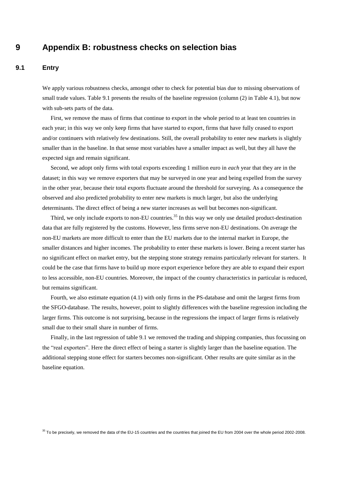# **9 Appendix B: robustness checks on selection bias**

### **9.1 Entry**

We apply various robustness checks, amongst other to check for potential bias due to missing observations of small trade values. Table 9.1 presents the results of the baseline regression (column (2) in Table 4.1), but now with sub-sets parts of the data.

First, we remove the mass of firms that continue to export in the whole period to at least ten countries in each year; in this way we only keep firms that have started to export, firms that have fully ceased to export and/or continuers with relatively few destinations. Still, the overall probability to enter new markets is slightly smaller than in the baseline. In that sense most variables have a smaller impact as well, but they all have the expected sign and remain significant.

Second, we adopt only firms with total exports exceeding 1 million euro in *each* year that they are in the dataset; in this way we remove exporters that may be surveyed in one year and being expelled from the survey in the other year, because their total exports fluctuate around the threshold for surveying. As a consequence the observed and also predicted probability to enter new markets is much larger, but also the underlying determinants. The direct effect of being a new starter increases as well but becomes non-significant.

Third, we only include exports to non-EU countries.<sup>35</sup> In this way we only use detailed product-destination data that are fully registered by the customs. However, less firms serve non-EU destinations. On average the non-EU markets are more difficult to enter than the EU markets due to the internal market in Europe, the smaller distances and higher incomes. The probability to enter these markets is lower. Being a recent starter has no significant effect on market entry, but the stepping stone strategy remains particularly relevant for starters. It could be the case that firms have to build up more export experience before they are able to expand their export to less accessible, non-EU countries. Moreover, the impact of the country characteristics in particular is reduced, but remains significant.

Fourth, we also estimate equation (4.1) with only firms in the PS-database and omit the largest firms from the SFGO-database. The results, however, point to slightly differences with the baseline regression including the larger firms. This outcome is not surprising, because in the regressions the impact of larger firms is relatively small due to their small share in number of firms.

Finally, in the last regression of table 9.1 we removed the trading and shipping companies, thus focussing on the "real exporters". Here the direct effect of being a starter is slightly larger than the baseline equation. The additional stepping stone effect for starters becomes non-significant. Other results are quite similar as in the baseline equation.

<sup>35</sup> To be precisely, we removed the data of the EU-15 countries and the countries that joined the EU from 2004 over the whole period 2002-2008.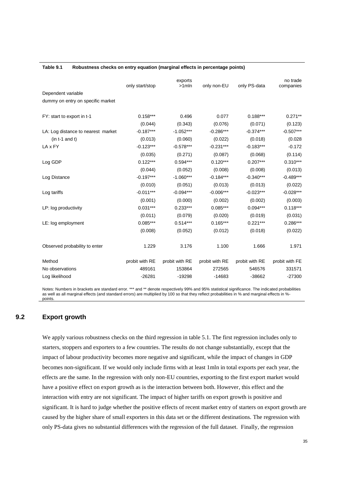|                                    | only start/stop | exports<br>$>1$ mln | only non-EU    | only PS-data   | no trade<br>companies |
|------------------------------------|-----------------|---------------------|----------------|----------------|-----------------------|
| Dependent variable                 |                 |                     |                |                |                       |
| dummy on entry on specific market  |                 |                     |                |                |                       |
| FY: start to export in t-1         | $0.158***$      | 0.496               | 0.077          | $0.188***$     | $0.271**$             |
|                                    | (0.044)         | (0.343)             | (0.076)        | (0.071)        | (0.123)               |
| LA: Log distance to nearest market | $-0.187***$     | $-1.052***$         | $-0.286***$    | $-0.374***$    | $-0.507***$           |
| $(in t-1 and t)$                   | (0.013)         | (0.060)             | (0.022)        | (0.018)        | (0.028)               |
| LA x FY                            | $-0.123***$     | $-0.578***$         | $-0.231***$    | $-0.183***$    | $-0.172$              |
|                                    | (0.035)         | (0.271)             | (0.087)        | (0.068)        | (0.114)               |
| Log GDP                            | $0.122***$      | $0.594***$          | $0.120***$     | $0.207***$     | $0.310***$            |
|                                    | (0.044)         | (0.052)             | (0.008)        | (0.008)        | (0.013)               |
| Log Distance                       | $-0.197***$     | $-1.060***$         | $-0.184***$    | $-0.340***$    | $-0.489***$           |
|                                    | (0.010)         | (0.051)             | (0.013)        | (0.013)        | (0.022)               |
| Log tariffs                        | $-0.011***$     | $-0.094***$         | $-0.006***$    | $-0.023***$    | $-0.028***$           |
|                                    | (0.001)         | (0.000)             | (0.002)        | (0.002)        | (0.003)               |
| LP: log productivity               | $0.031***$      | $0.233***$          | $0.085***$     | $0.094***$     | $0.118***$            |
|                                    | (0.011)         | (0.079)             | (0.020)        | (0.019)        | (0.031)               |
| LE: log employment                 | $0.085***$      | $0.514***$          | $0.165***$     | $0.221***$     | $0.286***$            |
|                                    | (0.008)         | (0.052)             | (0.012)        | (0.018)        | (0.022)               |
| Observed probability to enter      | 1.229           | 3.176               | 1.100          | 1.666          | 1.971                 |
| Method                             | probit with RE  | probit with RE      | probit with RE | probit with RE | probit with FE        |
| No observations                    | 489161          | 153864              | 272565         | 546576         | 331571                |
| Log likelihood                     | $-26281$        | $-19298$            | $-14683$       | $-38662$       | $-27300$              |

#### **Table 9.1 Robustness checks on entry equation (marginal effects in percentage points)**

Notes: Numbers in brackets are standard error. \*\*\* and \*\* denote respectively 99% and 95% statistical significance. The indicated probabilities as well as all marginal effects (and standard errors) are multiplied by 100 so that they reflect probabilities in % and marginal effects in % points.

### **9.2 Export growth**

We apply various robustness checks on the third regression in table 5.1. The first regression includes only to starters, stoppers and exporters to a few countries. The results do not change substantially, except that the impact of labour productivity becomes more negative and significant, while the impact of changes in GDP becomes non-significant. If we would only include firms with at least 1mln in total exports per each year, the effects are the same. In the regression with only non-EU countries, exporting to the first export market would have a positive effect on export growth as is the interaction between both. However, this effect and the interaction with entry are not significant. The impact of higher tariffs on export growth is positive and significant. It is hard to judge whether the positive effects of recent market entry of starters on export growth are caused by the higher share of small exporters in this data set or the different destinations. The regression with only PS-data gives no substantial differences with the regression of the full dataset. Finally, the regression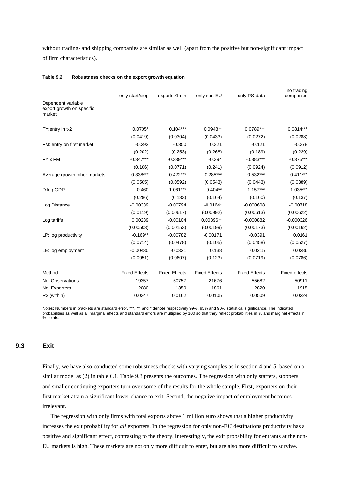without trading- and shipping companies are similar as well (apart from the positive but non-significant impact of firm characteristics).

| Table 9.2<br>Robustness checks on the export growth equation |                      |                      |                      |                      |                         |  |  |
|--------------------------------------------------------------|----------------------|----------------------|----------------------|----------------------|-------------------------|--|--|
|                                                              | only start/stop      | exports>1mln         | only non-EU          | only PS-data         | no trading<br>companies |  |  |
| Dependent variable<br>export growth on specific<br>market    |                      |                      |                      |                      |                         |  |  |
| FY: entry in t-2                                             | $0.0705*$            | $0.104***$           | $0.0948**$           | 0.0789***            | $0.0814***$             |  |  |
|                                                              | (0.0419)             | (0.0304)             | (0.0433)             | (0.0272)             | (0.0288)                |  |  |
| FM: entry on first market                                    | $-0.292$             | $-0.350$             | 0.321                | $-0.121$             | $-0.378$                |  |  |
|                                                              | (0.202)              | (0.253)              | (0.268)              | (0.189)              | (0.239)                 |  |  |
| FY x FM                                                      | $-0.347***$          | $-0.339***$          | $-0.394$             | $-0.383***$          | $-0.375***$             |  |  |
|                                                              | (0.106)              | (0.0771)             | (0.241)              | (0.0924)             | (0.0912)                |  |  |
| Average growth other markets                                 | $0.338***$           | $0.422***$           | $0.285***$           | $0.532***$           | $0.411***$              |  |  |
|                                                              | (0.0505)             | (0.0592)             | (0.0543)             | (0.0443)             | (0.0389)                |  |  |
| D log GDP                                                    | 0.460                | $1.061***$           | $0.404**$            | $1.157***$           | $1.035***$              |  |  |
|                                                              | (0.286)              | (0.133)              | (0.164)              | (0.160)              | (0.137)                 |  |  |
| Log Distance                                                 | $-0.00339$           | $-0.00794$           | $-0.0164*$           | $-0.000608$          | $-0.00718$              |  |  |
|                                                              | (0.0119)             | (0.00617)            | (0.00992)            | (0.00613)            | (0.00622)               |  |  |
| Log tariffs                                                  | 0.00239              | $-0.00104$           | 0.00396**            | $-0.000882$          | $-0.000326$             |  |  |
|                                                              | (0.00503)            | (0.00153)            | (0.00199)            | (0.00173)            | (0.00162)               |  |  |
| LP: log productivity                                         | $-0.169**$           | $-0.00782$           | $-0.00171$           | $-0.0391$            | 0.0161                  |  |  |
|                                                              | (0.0714)             | (0.0478)             | (0.105)              | (0.0458)             | (0.0527)                |  |  |
| LE: log employment                                           | $-0.00430$           | $-0.0321$            | 0.138                | 0.0215               | 0.0286                  |  |  |
|                                                              | (0.0951)             | (0.0607)             | (0.123)              | (0.0719)             | (0.0786)                |  |  |
| Method                                                       | <b>Fixed Effects</b> | <b>Fixed Effects</b> | <b>Fixed Effects</b> | <b>Fixed Effects</b> | <b>Fixed effects</b>    |  |  |
| No. Observations                                             | 19357                | 50757                | 21676                | 55682                | 50911                   |  |  |
| No. Exporters                                                | 2080                 | 1359                 | 1861                 | 2820                 | 1915                    |  |  |
| R2 (within)                                                  | 0.0347               | 0.0162               | 0.0105               | 0.0509               | 0.0224                  |  |  |

Notes: Numbers in brackets are standard error. \*\*\*, \*\* and \* denote respectively 99%, 95% and 90% statistical significance. The indicated probabilities as well as all marginal effects and standard errors are multiplied by 100 so that they reflect probabilities in % and marginal effects in %-points.

### **9.3 Exit**

Finally, we have also conducted some robustness checks with varying samples as in section 4 and 5, based on a similar model as (2) in table 6.1. Table 9.3 presents the outcomes. The regression with only starters, stoppers and smaller continuing exporters turn over some of the results for the whole sample. First, exporters on their first market attain a significant lower chance to exit. Second, the negative impact of employment becomes irrelevant.

The regression with only firms with total exports above 1 million euro shows that a higher productivity increases the exit probability for *all* exporters. In the regression for only non-EU destinations productivity has a positive and significant effect, contrasting to the theory. Interestingly, the exit probability for entrants at the non-EU markets is high. These markets are not only more difficult to enter, but are also more difficult to survive.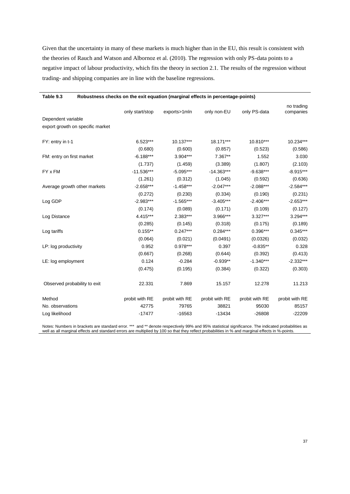Given that the uncertainty in many of these markets is much higher than in the EU, this result is consistent with the theories of Rauch and Watson and Albornoz et al. (2010). The regression with only PS-data points to a negative impact of labour productivity, which fits the theory in section 2.1. The results of the regression without trading- and shipping companies are in line with the baseline regressions.

| Table 9.3<br>Robustness checks on the exit equation (marginal effects in percentage-points) |                 |                |                |                |                         |
|---------------------------------------------------------------------------------------------|-----------------|----------------|----------------|----------------|-------------------------|
|                                                                                             | only start/stop | exports>1mln   | only non-EU    | only PS-data   | no trading<br>companies |
| Dependent variable                                                                          |                 |                |                |                |                         |
| export growth on specific market                                                            |                 |                |                |                |                         |
| FY: entry in t-1                                                                            | $6.523***$      | 10.137***      | 18.171***      | 10.810***      | 10.234***               |
|                                                                                             | (0.680)         | (0.600)        | (0.857)        | (0.523)        | (0.586)                 |
| FM: entry on first market                                                                   | $-6.188***$     | $3.904***$     | $7.367**$      | 1.552          | 3.030                   |
|                                                                                             | (1.737)         | (1.459)        | (3.389)        | (1.807)        | (2.103)                 |
| FY x FM                                                                                     | $-11.536***$    | $-5.095***$    | $-14.363***$   | $-9.638***$    | $-8.915***$             |
|                                                                                             | (1.261)         | (0.312)        | (1.045)        | (0.592)        | (0.636)                 |
| Average growth other markets                                                                | $-2.658***$     | $-1.458***$    | $-2.047***$    | $-2.088***$    | $-2.584***$             |
|                                                                                             | (0.272)         | (0.230)        | (0.334)        | (0.190)        | (0.231)                 |
| Log GDP                                                                                     | $-2.983***$     | $-1.565***$    | $-3.405***$    | $-2.406***$    | $-2.653***$             |
|                                                                                             | (0.174)         | (0.089)        | (0.171)        | (0.109)        | (0.127)                 |
| Log Distance                                                                                | 4.415***        | 2.383***       | 3.966***       | $3.327***$     | 3.294***                |
|                                                                                             | (0.285)         | (0.145)        | (0.318)        | (0.175)        | (0.189)                 |
| Log tariffs                                                                                 | $0.155**$       | $0.247***$     | $0.284***$     | $0.396***$     | $0.345***$              |
|                                                                                             | (0.064)         | (0.021)        | (0.0491)       | (0.0326)       | (0.032)                 |
| LP: log productivity                                                                        | 0.952           | $0.978***$     | 0.397          | $-0.835**$     | 0.328                   |
|                                                                                             | (0.667)         | (0.268)        | (0.644)        | (0.392)        | (0.413)                 |
| LE: log employment                                                                          | 0.124           | $-0.284$       | $-0.939**$     | $-1.340***$    | $-2.332***$             |
|                                                                                             | (0.475)         | (0.195)        | (0.384)        | (0.322)        | (0.303)                 |
| Observed probability to exit                                                                | 22.331          | 7.869          | 15.157         | 12.278         | 11.213                  |
| Method                                                                                      | probit with RE  | probit with RE | probit with RE | probit with RE | probit with RE          |
| No. observations                                                                            | 42775           | 79765          | 38821          | 95030          | 85157                   |
| Log likelihood                                                                              | $-17477$        | $-16563$       | $-13434$       | $-26808$       | $-22209$                |

Notes: Numbers in brackets are standard error. \*\*\* and \*\* denote respectively 99% and 95% statistical significance. The indicated probabilities as well as all marginal effects and standard errors are multiplied by 100 so that they reflect probabilities in % and marginal effects in %-points.